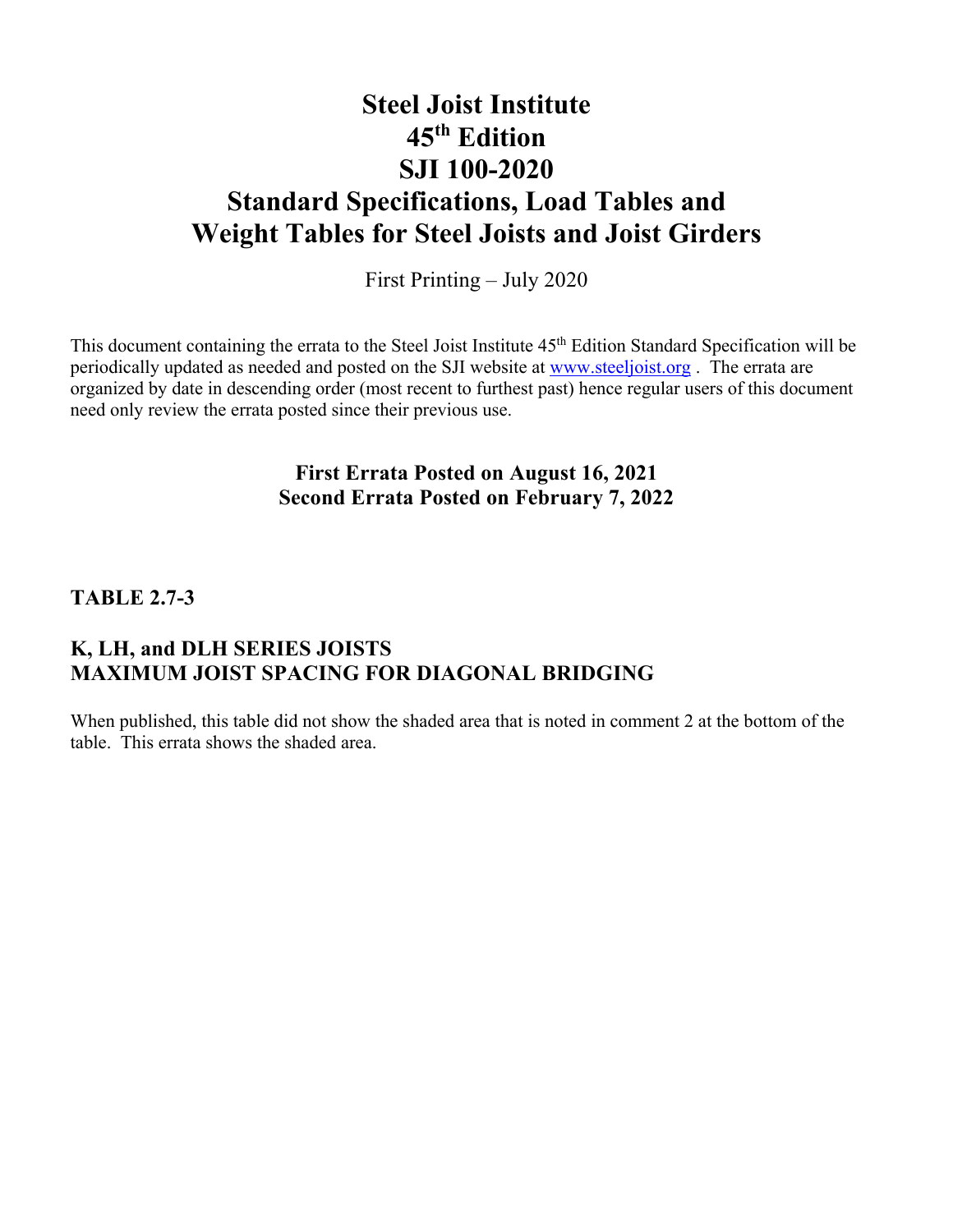## **Steel Joist Institute 45th Edition SJI 100-2020 Standard Specifications, Load Tables and Weight Tables for Steel Joists and Joist Girders**

First Printing – July 2020

This document containing the errata to the Steel Joist Institute 45<sup>th</sup> Edition Standard Specification will be periodically updated as needed and posted on the SJI website at www.steeljoist.org. The errata are organized by date in descending order (most recent to furthest past) hence regular users of this document need only review the errata posted since their previous use.

## **First Errata Posted on August 16, 2021 Second Errata Posted on February 7, 2022**

### **TABLE 2.7-3**

## **K, LH, and DLH SERIES JOISTS MAXIMUM JOIST SPACING FOR DIAGONAL BRIDGING**

When published, this table did not show the shaded area that is noted in comment 2 at the bottom of the table. This errata shows the shaded area.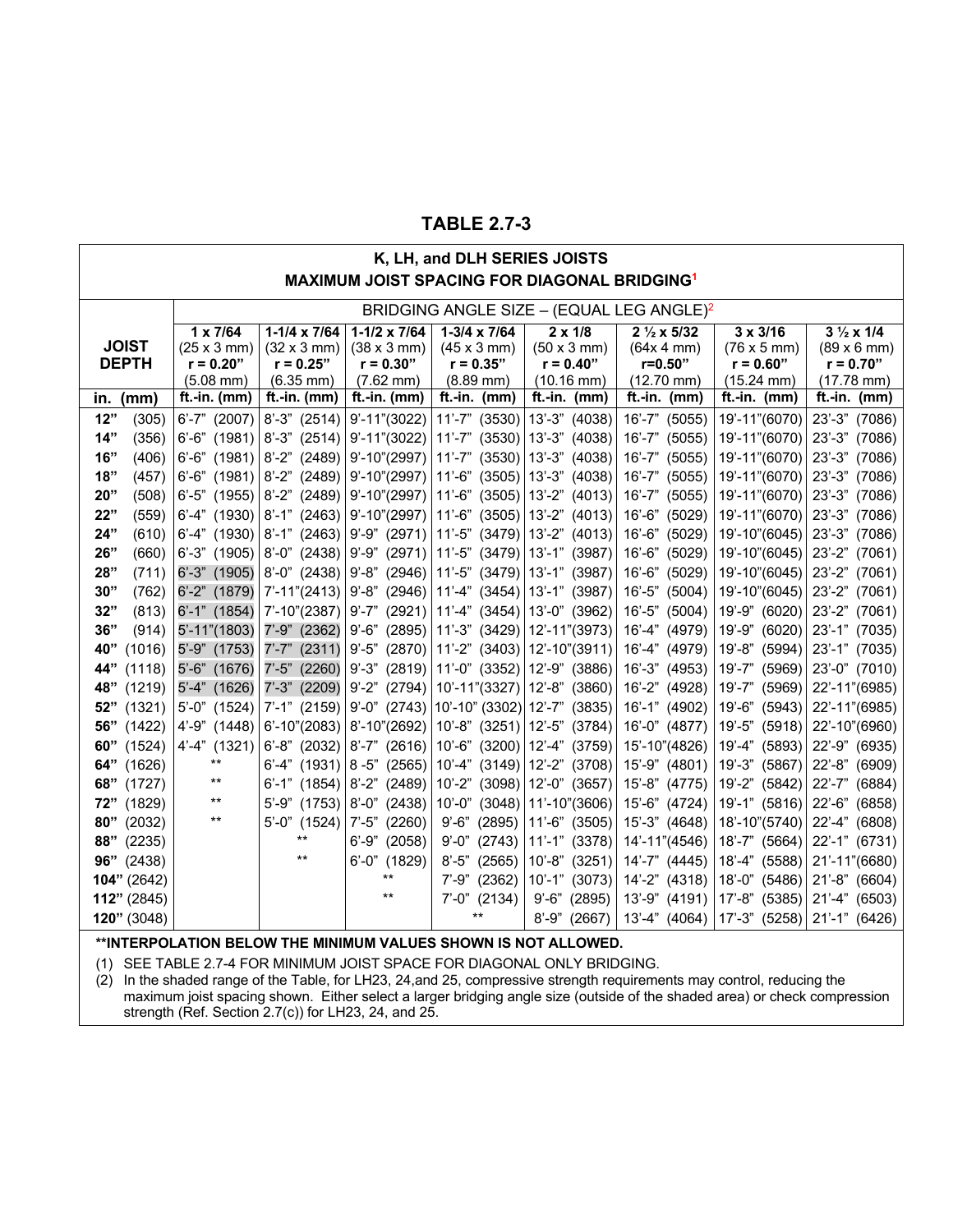### **TABLE 2.7-3**

#### **K, LH, and DLH SERIES JOISTS MAXIMUM JOIST SPACING FOR DIAGONAL BRIDGING1**

|               |                            |                            |                            |                                                                |                                       | BRIDGING ANGLE SIZE - (EQUAL LEG ANGLE) <sup>2</sup> |                            |                                  |
|---------------|----------------------------|----------------------------|----------------------------|----------------------------------------------------------------|---------------------------------------|------------------------------------------------------|----------------------------|----------------------------------|
|               | $1 \times 7/64$            | $1-1/4 \times 7/64$        | $1-1/2 \times 7/64$        | $1-3/4 \times 7/64$                                            | $2 \times 1/8$                        | $2\frac{1}{2} \times 5/32$                           | $3 \times 3/16$            | $3\frac{1}{2} \times 1/4$        |
| <b>JOIST</b>  | $(25 \times 3 \text{ mm})$ | $(32 \times 3 \text{ mm})$ | $(38 \times 3 \text{ mm})$ | $(45 \times 3 \text{ mm})$                                     | $(50 \times 3 \text{ mm})$            | (64x 4 mm)                                           | $(76 \times 5 \text{ mm})$ | $(89 \times 6 \text{ mm})$       |
| <b>DEPTH</b>  | $r = 0.20"$                | $r = 0.25"$                | $r = 0.30"$                | $r = 0.35"$                                                    | $r = 0.40"$                           | $r = 0.50"$                                          | $r = 0.60"$                | $r = 0.70"$                      |
|               | $(5.08$ mm $)$             | $(6.35 \text{ mm})$        | $(7.62 \text{ mm})$        | $(8.89 \text{ mm})$                                            | $(10.16 \text{ mm})$                  | $(12.70 \text{ mm})$                                 | $(15.24 \text{ mm})$       | $(17.78 \text{ mm})$             |
| in. $(mm)$    | ft.-in. $(mm)$             | ft.-in. $(mm)$             | ft.-in. $(mm)$             | $ft.-in.$ (mm)                                                 | ft.-in. $(mm)$                        | ft.-in. $(mm)$                                       | ft.-in. $(mm)$             | ft.-in. (mm)                     |
| 12"<br>(305)  | $6' - 7"$ (2007)           | $8' - 3''$ (2514)          | $9' - 11''(3022)$          |                                                                | 11'-7" (3530)   13'-3" (4038)         | 16'-7" (5055)                                        | 19'-11"(6070)              | 23'-3" (7086)                    |
| 14"<br>(356)  | $6'-6''$ (1981)            | $8' - 3''$ (2514)          |                            | 9'-11"(3022)   11'-7" (3530)   13'-3" (4038)                   |                                       | 16'-7" (5055)                                        | 19'-11"(6070)              | 23'-3" (7086)                    |
| 16"<br>(406)  | $6'$ -6" (1981)            | $8' - 2''$ (2489)          |                            | $9'$ -10"(2997)   11'-7" (3530)   13'-3" (4038)                |                                       | 16'-7" (5055)                                        | 19'-11"(6070)              | 23'-3" (7086)                    |
| 18"<br>(457)  | $6'-6''$ (1981)            | $8' - 2''$ (2489)          |                            | $9'$ -10"(2997) 11'-6" (3505) 13'-3" (4038)                    |                                       | 16'-7" (5055)                                        | 19'-11"(6070)              | 23'-3" (7086)                    |
| 20"<br>(508)  | $6'-5''$ (1955)            | $8' - 2''$ (2489)          | $9' - 10''(2997)$ 11'-6"   |                                                                | $(3505)$ 13'-2" (4013)                | 16'-7" (5055)                                        | 19'-11"(6070)              | $23' - 3"$<br>(7086)             |
| 22"<br>(559)  | $6' - 4''$ (1930)          | $8' - 1''$ (2463)          | $9'$ -10"(2997) 11'-6"     |                                                                | $(3505)$ 13'-2" (4013)                | $16 - 6"$<br>(5029)                                  | 19'-11"(6070)              | 23'-3" (7086)                    |
| 24"<br>(610)  | $6' - 4''$ (1930)          | $8' - 1''$ (2463)          |                            | $9'$ -9" (2971) 11'-5" (3479) 13'-2" (4013)                    |                                       | 16'-6" (5029)                                        | 19'-10"(6045)              | 23'-3" (7086)                    |
| 26"<br>(660)  | $6' - 3''$ (1905)          | $8'-0''$ (2438)            |                            | $9'$ -9" (2971) 11'-5" (3479) 13'-1" (3987)                    |                                       | $16' - 6"$<br>(5029)                                 | 19'-10"(6045)              | 23'-2" (7061)                    |
| 28"<br>(711)  | $6^{\prime}$ -3" (1905)    |                            |                            | $8'-0$ " (2438)   9'-8" (2946)   11'-5" (3479)   13'-1" (3987) |                                       | $16 - 6"$<br>(5029)                                  | 19'-10"(6045)              | 23'-2" (7061)                    |
| 30"<br>(762)  | 6'-2" (1879)               | $7' - 11''(2413)$          |                            | $9'$ -8" (2946) 11'-4" (3454) 13'-1" (3987)                    |                                       | 16'-5" (5004)                                        | 19'-10"(6045)              | 23'-2" (7061)                    |
| 32"<br>(813)  | 6'-1" (1854)               | $7' - 10''(2387)$          |                            | $9'$ -7" (2921)   11'-4" (3454)   13'-0" (3962)                |                                       | 16'-5" (5004)                                        | 19'-9" (6020)              | 23'-2" (7061)                    |
| 36"<br>(914)  | $5' - 11''(1803)$          | 7'-9" (2362)               |                            | $9'$ -6" (2895)   11'-3" (3429)   12'-11"(3973)                |                                       | 16'-4" (4979)                                        | 19'-9" (6020)              | 23'-1" (7035)                    |
| 40"<br>(1016) | $5'-9''$ (1753)            | $7' - 7''$ (2311)          |                            | $9'$ -5" (2870) 11'-2" (3403) 12'-10"(3911)                    |                                       | 16'-4" (4979)                                        | 19'-8" (5994)              | 23'-1" (7035)                    |
| 44"<br>(1118) | $5'-6''$ (1676)            | $7' - 5''$ (2260)          |                            | $9'$ -3" (2819) 11'-0" (3352) 12'-9" (3886)                    |                                       | 16'-3" (4953)                                        | 19'-7" (5969)              | 23'-0" (7010)                    |
| (1219)<br>48" | 5'-4" (1626)               | $7' - 3''$ (2209)          |                            | $9'$ -2" (2794) 10'-11"(3327) 12'-8" (3860)                    |                                       | 16'-2" (4928)                                        | (5969)<br>19'-7"           | 22'-11"(6985)                    |
| (1321)<br>52" | $5'-0''$ (1524)            | $7'$ -1" (2159)            |                            | $9'-0''$ (2743) 10'-10" (3302) 12'-7" (3835)                   |                                       | 16'-1" (4902)                                        | 19'-6" (5943)              | 22'-11"(6985)                    |
| 56" (1422)    | $4'-9''$ (1448)            | $6' - 10''(2083)$          |                            | $8'$ -10"(2692) 10'-8" (3251) 12'-5" (3784)                    |                                       | 16'-0" (4877)                                        |                            | 19'-5" (5918) 22'-10" (6960)     |
| 60"<br>(1524) | $4'-4''$ (1321)            | $6' - 8''$ (2032)          |                            | 8'-7" (2616)   10'-6" (3200)   12'-4" (3759)                   |                                       | 15'-10"(4826)                                        | 19'-4" (5893)              | 22'-9" (6935)                    |
| 64" (1626)    | $***$                      | $6' - 4''$ (1931)          | $8 - 5$ " (2565)           |                                                                | $10' - 4''$ (3149) 12'-2" (3708)      | 15'-9" (4801)                                        | 19'-3" (5867)              | 22'-8" (6909)                    |
| 68" (1727)    | $***$                      | $6' - 1''$ (1854)          | $8' - 2''$ (2489)          |                                                                | $10^{\circ}$ -2" (3098) 12'-0" (3657) | 15'-8" (4775)                                        | 19'-2" (5842)              | $22' - 7"$<br>(6884)             |
| 72" (1829)    | $***$                      | $5' - 9''$ (1753)          | $8'-0''$ (2438)            | $10^{\circ}$ -0"                                               | $(3048)$ 11'-10"(3606)                | 15'-6" (4724)                                        | 19'-1" (5816)              | 22'-6" (6858)                    |
| 80"<br>(2032) | $***$                      | $5' - 0''$<br>(1524)       | $7'-5''$ (2260)            | $9' - 6"$<br>(2895)                                            | 11'-6" (3505)                         | 15'-3" (4648)                                        | 18'-10"(5740)              | 22'-4" (6808)                    |
| 88"<br>(2235) |                            | $***$                      | $6' - 9''$ (2058)          | $9' - 0''$<br>(2743)                                           | 11'-1" (3378)                         | 14'-11"(4546)                                        | 18'-7" (5664)              | 22'-1" (6731)                    |
| $96"$ (2438)  |                            | $***$                      | $6' - 0''$<br>(1829)       | $8' - 5"$<br>(2565)                                            | $10' - 8''$ (3251)                    | 14'-7" (4445)                                        | 18'-4" (5588)              | 21'-11"(6680)                    |
| 104" (2642)   |                            |                            |                            | $7' - 9''$ (2362)                                              | $10' - 1''$ (3073)                    | 14'-2" (4318)                                        | 18'-0" (5486)              | 21'-8" (6604)                    |
| $112"$ (2845) |                            |                            |                            | $7'-0''$ (2134)                                                | $9' - 6"$<br>(2895)                   | 13'-9" (4191)                                        | 17'-8" (5385)              | 21'-4" (6503)                    |
| 120" (3048)   |                            |                            |                            | $***$                                                          | $8' - 9''$<br>(2667)                  | 13'-4" (4064)                                        |                            | $17' - 3''$ (5258) 21'-1" (6426) |

**\*\*INTERPOLATION BELOW THE MINIMUM VALUES SHOWN IS NOT ALLOWED.**

(1) SEE TABLE 2.7-4 FOR MINIMUM JOIST SPACE FOR DIAGONAL ONLY BRIDGING.

 $(2)$  In the shaded range of the Table, for LH23, 24,and 25, compressive strength requirements may control, reducing the maximum joist spacing shown. Either select a larger bridging angle size (outside of the shaded area) or check compression strength (Ref. Section 2.7(c)) for LH23, 24, and 25.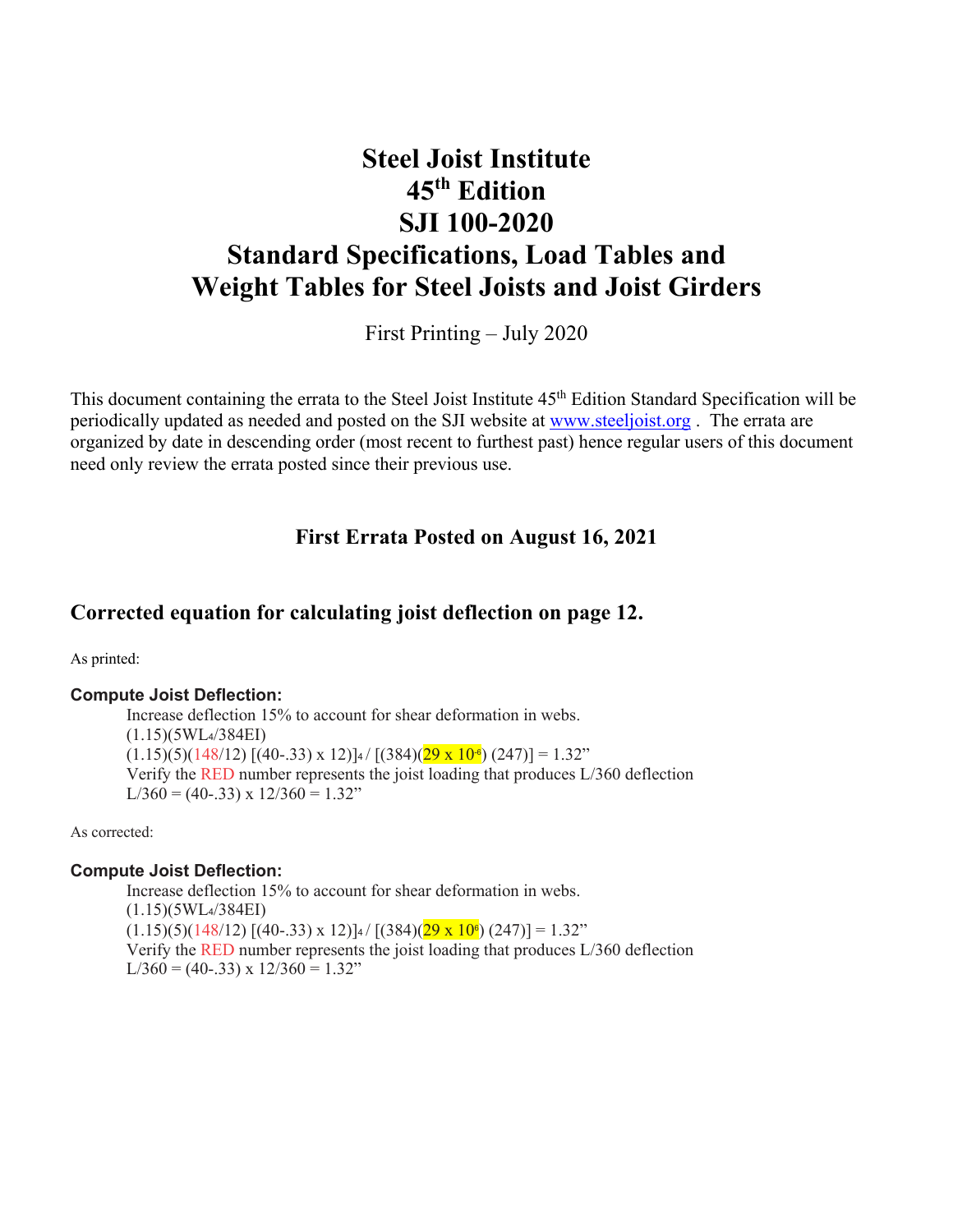## **Steel Joist Institute 45th Edition SJI 100-2020 Standard Specifications, Load Tables and Weight Tables for Steel Joists and Joist Girders**

First Printing – July 2020

This document containing the errata to the Steel Joist Institute 45<sup>th</sup> Edition Standard Specification will be periodically updated as needed and posted on the SJI website at www.steeljoist.org . The errata are organized by date in descending order (most recent to furthest past) hence regular users of this document need only review the errata posted since their previous use.

### **First Errata Posted on August 16, 2021**

### **Corrected equation for calculating joist deflection on page 12.**

As printed:

#### **Compute Joist Deflection:**

Increase deflection 15% to account for shear deformation in webs. (1.15)(5WL4/384EI)  $(1.15)(5)(148/12)$   $[(40-0.33) \times 12)]$ 4 /  $[(384)(29 \times 10^{-6})$   $(247)] = 1.32$ " Verify the RED number represents the joist loading that produces L/360 deflection  $L/360 = (40-.33) \times 12/360 = 1.32$ "

As corrected:

#### **Compute Joist Deflection:**

Increase deflection 15% to account for shear deformation in webs. (1.15)(5WL4/384EI)  $(1.15)(5)(148/12)$  [(40-.33) x 12)]<sup>4</sup>  $/$  [(384)(29 x 10<sup>e</sup>) (247)] = 1.32" Verify the RED number represents the joist loading that produces L/360 deflection  $L/360 = (40-33) \times 12/360 = 1.32$ "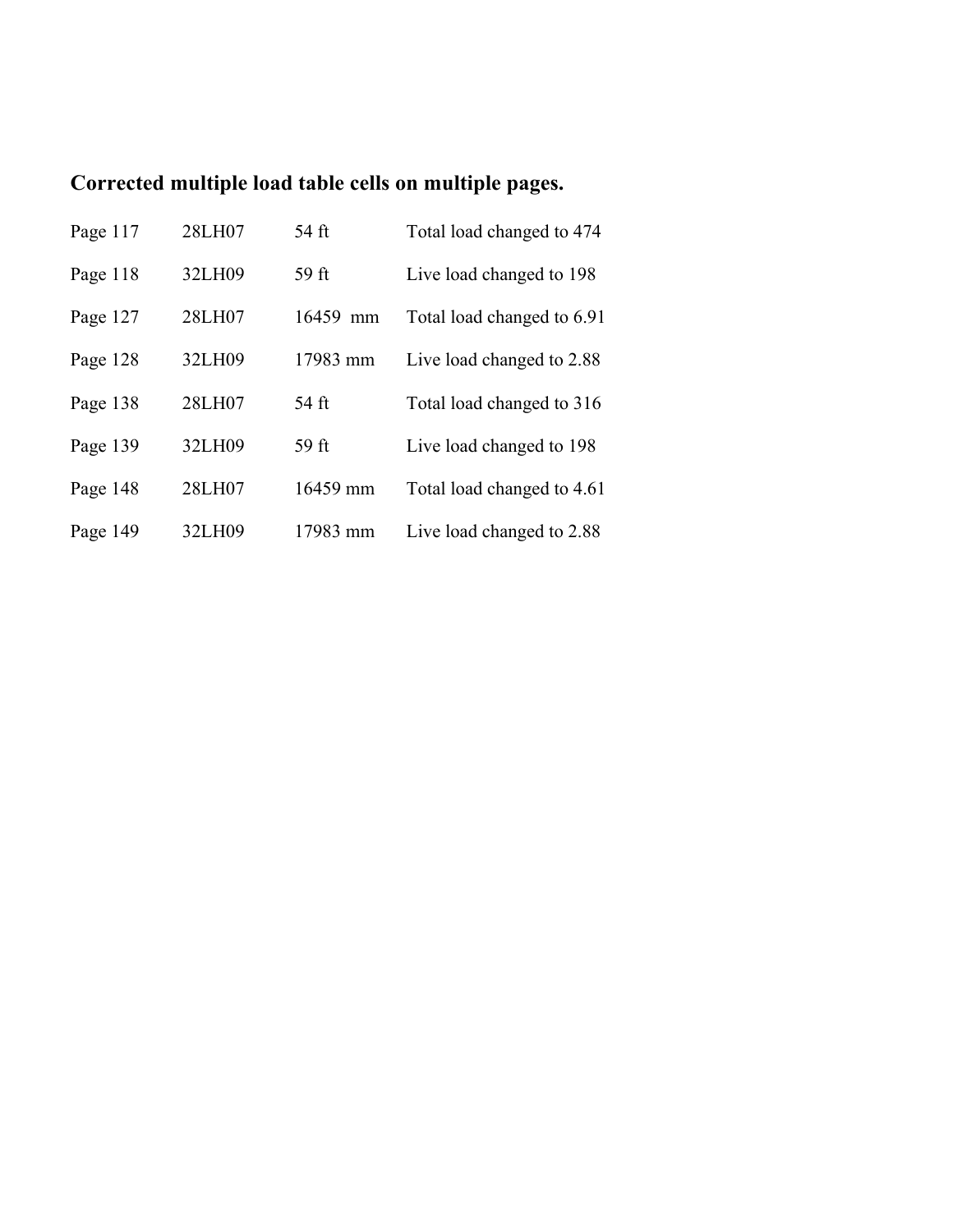## **Corrected multiple load table cells on multiple pages.**

| Page 117 | 28LH07 | 54 ft    | Total load changed to 474  |
|----------|--------|----------|----------------------------|
| Page 118 | 32LH09 | 59 ft    | Live load changed to 198   |
| Page 127 | 28LH07 | 16459 mm | Total load changed to 6.91 |
| Page 128 | 32LH09 | 17983 mm | Live load changed to 2.88  |
| Page 138 | 28LH07 | 54 ft    | Total load changed to 316  |
| Page 139 | 32LH09 | 59 ft    | Live load changed to 198   |
| Page 148 | 28LH07 | 16459 mm | Total load changed to 4.61 |
| Page 149 | 32LH09 | 17983 mm | Live load changed to 2.88  |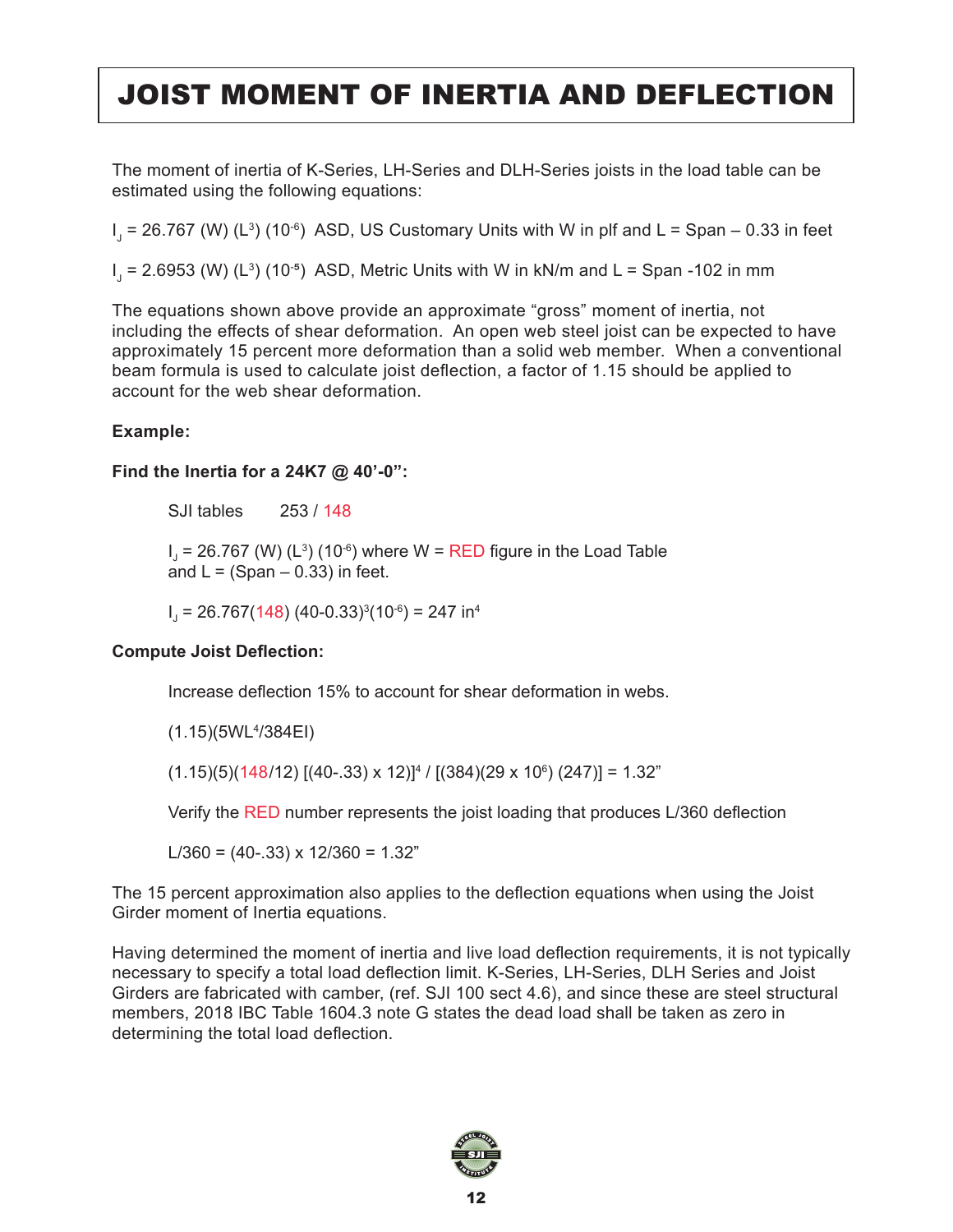# JOIST MOMENT OF INERTIA AND DEFLECTION

The moment of inertia of K-Series, LH-Series and DLH-Series joists in the load table can be estimated using the following equations:

I<sub>J</sub> = 26.767 (W) (L $^{\text{3}}$ ) (10 $^{\text{-6}}$ ) ASD, US Customary Units with W in plf and L = Span – 0.33 in feet

I $_{\sf J}$  = 2.6953 (W) (L $^{\sf 3}$ ) (10 $^{\sf \bullet}$ ) ASD, Metric Units with W in kN/m and L = Span -102 in mm

The equations shown above provide an approximate "gross" moment of inertia, not including the effects of shear deformation. An open web steel joist can be expected to have approximately 15 percent more deformation than a solid web member. When a conventional beam formula is used to calculate joist deflection, a factor of 1.15 should be applied to account for the web shear deformation.

### **Example:**

#### **Find the Inertia for a 24K7 @ 40'-0":**

SJI tables 253 / 148

 $I_{J}$  = 26.767 (W) (L $^{3}$ ) (10 $^{\circ}$ ) where W = RED figure in the Load Table and  $L = (Span - 0.33)$  in feet.

 $I<sub>J</sub>$  = 26.767(148) (40-0.33)<sup>3</sup>(10<sup>-6</sup>) = 247 in<sup>4</sup>

#### **Compute Joist Deflection:**

Increase deflection 15% to account for shear deformation in webs.

(1.15)(5WL4 /384EI)

(1.15)(5)(148/12) [(40-.33) x 12)] $^4$  / [(384)(29 x 10 $^{\circ}$ ) (247)] = 1.32"

Verify the RED number represents the joist loading that produces L/360 deflection

L/360 =  $(40-33) \times 12/360 = 1.32$ "

The 15 percent approximation also applies to the deflection equations when using the Joist Girder moment of Inertia equations.

Having determined the moment of inertia and live load deflection requirements, it is not typically necessary to specify a total load deflection limit. K-Series, LH-Series, DLH Series and Joist Girders are fabricated with camber, (ref. SJI 100 sect 4.6), and since these are steel structural members, 2018 IBC Table 1604.3 note G states the dead load shall be taken as zero in determining the total load deflection.

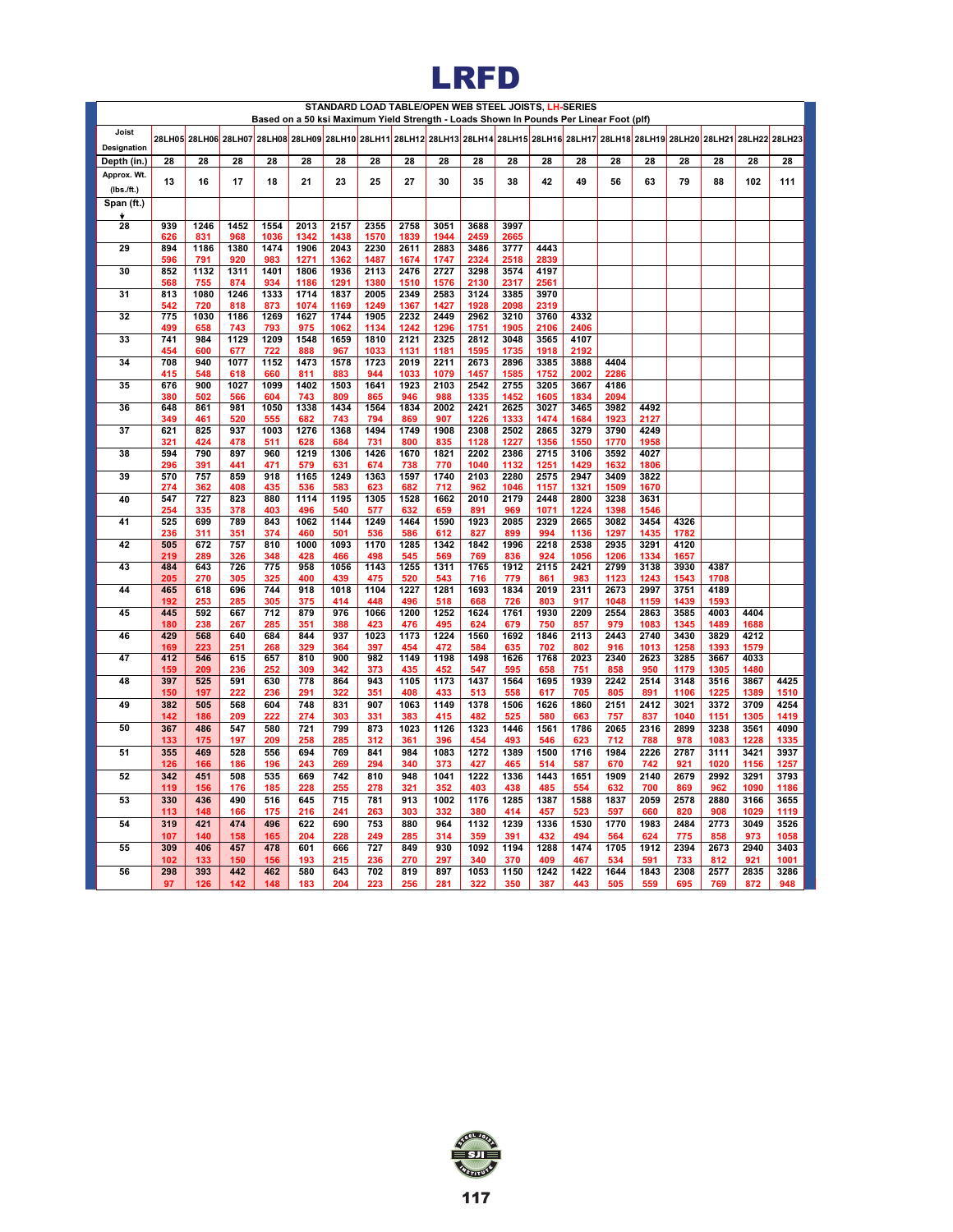

|                      |            |             |             | Based on a 50 ksi Maximum Yield Strength - Loads Shown In Pounds Per Linear Foot (plf)                                               |              |              | STANDARD LOAD TABLE/OPEN WEB STEEL JOISTS, LH-SERIES |              |              |              |              |              |              |              |              |              |              |              |              |
|----------------------|------------|-------------|-------------|--------------------------------------------------------------------------------------------------------------------------------------|--------------|--------------|------------------------------------------------------|--------------|--------------|--------------|--------------|--------------|--------------|--------------|--------------|--------------|--------------|--------------|--------------|
| Joist<br>Designation |            |             |             | 28LH05 28LH06 28LH07 28LH08 28LH09 28LH10 28LH11 28LH12 28LH13 28LH14 28LH15 28LH16 28LH17 28LH18 28LH19 28LH20 28LH21 28LH22 28LH23 |              |              |                                                      |              |              |              |              |              |              |              |              |              |              |              |              |
| Depth (in.)          | 28         | 28          | 28          | 28                                                                                                                                   | 28           | 28           | 28                                                   | 28           | 28           | 28           | 28           | 28           | 28           | 28           | 28           | 28           | 28           | 28           | 28           |
| Approx. Wt.          |            |             |             |                                                                                                                                      |              |              |                                                      |              |              |              |              |              |              |              |              |              |              |              |              |
| $(lbs.$ /ft.)        | 13         | 16          | 17          | 18                                                                                                                                   | 21           | 23           | 25                                                   | 27           | 30           | 35           | 38           | 42           | 49           | 56           | 63           | 79           | 88           | 102          | 111          |
| Span (ft.)           |            |             |             |                                                                                                                                      |              |              |                                                      |              |              |              |              |              |              |              |              |              |              |              |              |
| ۰<br>28              | 939        | 1246        | 1452        | 1554                                                                                                                                 | 2013         | 2157         | 2355                                                 | 2758         | 3051         | 3688         | 3997         |              |              |              |              |              |              |              |              |
|                      | 626        | 831         | 968         | 1036                                                                                                                                 | 1342         | 1438         | 1570                                                 | 1839         | 1944         | 2459         | 2665         |              |              |              |              |              |              |              |              |
| 29                   | 894<br>596 | 1186<br>791 | 1380<br>920 | 1474<br>983                                                                                                                          | 1906<br>1271 | 2043<br>1362 | 2230<br>1487                                         | 2611<br>1674 | 2883<br>1747 | 3486<br>2324 | 3777<br>2518 | 4443<br>2839 |              |              |              |              |              |              |              |
| 30                   | 852        | 1132        | 1311        | 1401                                                                                                                                 | 1806         | 1936         | 2113                                                 | 2476         | 2727         | 3298         | 3574         | 4197         |              |              |              |              |              |              |              |
| 31                   | 568<br>813 | 755<br>1080 | 874<br>1246 | 934<br>1333                                                                                                                          | 1186<br>1714 | 1291<br>1837 | 1380<br>2005                                         | 1510<br>2349 | 1576<br>2583 | 2130<br>3124 | 2317<br>3385 | 2561<br>3970 |              |              |              |              |              |              |              |
|                      | 542        | 720         | 818         | 873                                                                                                                                  | 1074         | 1169         | 1249                                                 | 1367         | 1427         | 1928         | 2098         | 2319         |              |              |              |              |              |              |              |
| 32                   | 775<br>499 | 1030        | 1186        | 1269                                                                                                                                 | 1627         | 1744         | 1905                                                 | 2232<br>1242 | 2449<br>1296 | 2962         | 3210         | 3760         | 4332<br>2406 |              |              |              |              |              |              |
| 33                   | 741        | 658<br>984  | 743<br>1129 | 793<br>1209                                                                                                                          | 975<br>1548  | 1062<br>1659 | 1134<br>1810                                         | 2121         | 2325         | 1751<br>2812 | 1905<br>3048 | 2106<br>3565 | 4107         |              |              |              |              |              |              |
|                      | 454        | 600         | 677         | 722                                                                                                                                  | 888          | 967          | 1033                                                 | 1131         | 1181         | 1595         | 1735         | 1918         | 2192         |              |              |              |              |              |              |
| 34                   | 708<br>415 | 940<br>548  | 1077<br>618 | 1152<br>660                                                                                                                          | 1473<br>811  | 1578<br>883  | 1723<br>944                                          | 2019<br>1033 | 2211<br>1079 | 2673<br>1457 | 2896<br>1585 | 3385<br>1752 | 3888<br>2002 | 4404<br>2286 |              |              |              |              |              |
| 35                   | 676        | 900         | 1027        | 1099                                                                                                                                 | 1402         | 1503         | 1641                                                 | 1923         | 2103         | 2542         | 2755         | 3205         | 3667         | 4186         |              |              |              |              |              |
|                      | 380        | 502         | 566         | 604                                                                                                                                  | 743          | 809          | 865                                                  | 946          | 988          | 1335         | 1452         | 1605         | 1834         | 2094         |              |              |              |              |              |
| 36                   | 648<br>349 | 861<br>461  | 981<br>520  | 1050<br>555                                                                                                                          | 1338<br>682  | 1434<br>743  | 1564<br>794                                          | 1834<br>869  | 2002<br>907  | 2421<br>1226 | 2625<br>1333 | 3027<br>1474 | 3465<br>1684 | 3982<br>1923 | 4492<br>2127 |              |              |              |              |
| $\overline{37}$      | 621        | 825         | 937         | 1003                                                                                                                                 | 1276         | 1368         | 1494                                                 | 1749         | 1908         | 2308         | 2502         | 2865         | 3279         | 3790         | 4249         |              |              |              |              |
|                      | 321<br>594 | 424<br>790  | 478<br>897  | 511<br>960                                                                                                                           | 628<br>1219  | 684<br>1306  | 731<br>1426                                          | 800<br>1670  | 835<br>1821  | 1128<br>2202 | 1227<br>2386 | 1356<br>2715 | 1550<br>3106 | 1770<br>3592 | 1958<br>4027 |              |              |              |              |
| 38                   | 296        | 391         | 441         | 471                                                                                                                                  | 579          | 631          | 674                                                  | 738          | 770          | 1040         | 1132         | 1251         | 1429         | 1632         | 1806         |              |              |              |              |
| 39                   | 570        | 757         | 859         | 918                                                                                                                                  | 1165         | 1249         | 1363                                                 | 1597         | 1740         | 2103         | 2280         | 2575         | 2947         | 3409         | 3822         |              |              |              |              |
| 40                   | 274<br>547 | 362<br>727  | 408<br>823  | 435<br>880                                                                                                                           | 536<br>1114  | 583<br>1195  | 623<br>1305                                          | 682<br>1528  | 712<br>1662  | 962<br>2010  | 1046<br>2179 | 1157<br>2448 | 1321<br>2800 | 1509<br>3238 | 1670<br>3631 |              |              |              |              |
|                      | 254        | 335         | 378         | 403                                                                                                                                  | 496          | 540          | 577                                                  | 632          | 659          | 891          | 969          | 1071         | 1224         | 1398         | 1546         |              |              |              |              |
| 41                   | 525        | 699         | 789         | 843                                                                                                                                  | 1062         | 1144         | 1249                                                 | 1464         | 1590         | 1923         | 2085         | 2329         | 2665         | 3082         | 3454         | 4326         |              |              |              |
| 42                   | 236<br>505 | 311<br>672  | 351<br>757  | 374<br>810                                                                                                                           | 460<br>1000  | 501<br>1093  | 536<br>1170                                          | 586<br>1285  | 612<br>1342  | 827<br>1842  | 899<br>1996  | 994<br>2218  | 1136<br>2538 | 1297<br>2935 | 1435<br>3291 | 1782<br>4120 |              |              |              |
|                      | 219        | 289         | 326         | 348                                                                                                                                  | 428          | 466          | 498                                                  | 545          | 569          | 769          | 836          | 924          | 1056         | 1206         | 1334         | 1657         |              |              |              |
| 43                   | 484<br>205 | 643<br>270  | 726<br>305  | 775<br>325                                                                                                                           | 958<br>400   | 1056<br>439  | 1143<br>475                                          | 1255<br>520  | 1311<br>543  | 1765<br>716  | 1912<br>779  | 2115<br>861  | 2421<br>983  | 2799<br>1123 | 3138<br>1243 | 3930<br>1543 | 4387<br>1708 |              |              |
| 44                   | 465        | 618         | 696         | 744                                                                                                                                  | 918          | 1018         | 1104                                                 | 1227         | 1281         | 1693         | 1834         | 2019         | 2311         | 2673         | 2997         | 3751         | 4189         |              |              |
|                      | 192        | 253         | 285         | 305                                                                                                                                  | 375          | 414          | 448                                                  | 496          | 518          | 668          | 726          | 803          | 917          | 1048         | 1159         | 1439         | 1593         |              |              |
| 45                   | 445<br>180 | 592<br>238  | 667<br>267  | 712<br>285                                                                                                                           | 879<br>351   | 976<br>388   | 1066<br>423                                          | 1200<br>476  | 1252<br>495  | 1624<br>624  | 1761<br>679  | 1930<br>750  | 2209<br>857  | 2554<br>979  | 2863<br>1083 | 3585<br>1345 | 4003<br>1489 | 4404<br>1688 |              |
| 46                   | 429        | 568         | 640         | 684                                                                                                                                  | 844          | 937          | 1023                                                 | 1173         | 1224         | 1560         | 1692         | 1846         | 2113         | 2443         | 2740         | 3430         | 3829         | 4212         |              |
| 47                   | 169<br>412 | 223<br>546  | 251<br>615  | 268<br>657                                                                                                                           | 329<br>810   | 364<br>900   | 397<br>982                                           | 454<br>1149  | 472<br>1198  | 584<br>1498  | 635<br>1626  | 702<br>1768  | 802<br>2023  | 916<br>2340  | 1013<br>2623 | 1258<br>3285 | 1393<br>3667 | 1579<br>4033 |              |
|                      | 159        | 209         | 236         | 252                                                                                                                                  | 309          | 342          | 373                                                  | 435          | 452          | 547          | 595          | 658          | 751          | 858          | 950          | 1179         | 1305         | 1480         |              |
| 48                   | 397        | 525         | 591         | 630                                                                                                                                  | 778          | 864          | 943                                                  | 1105         | 1173         | 1437         | 1564         | 1695         | 1939         | 2242         | 2514         | 3148         | 3516         | 3867         | 4425         |
| 49                   | 150<br>382 | 197<br>505  | 222<br>568  | 236<br>604                                                                                                                           | 291<br>748   | 322<br>831   | 351<br>907                                           | 408<br>1063  | 433<br>1149  | 513<br>1378  | 558<br>1506  | 617<br>1626  | 705<br>1860  | 805<br>2151  | 891<br>2412  | 1106<br>3021 | 1225<br>3372 | 1389<br>3709 | 1510<br>4254 |
|                      | 142        | 186         | 209         | 222                                                                                                                                  | 274          | 303          | 331                                                  | 383          | 415          | 482          | 525          | 580          | 663          | 757          | 837          | 1040         | 1151         | 1305         | 1419         |
| 50                   | 367<br>133 | 486<br>175  | 547<br>197  | 580<br>209                                                                                                                           | 721<br>258   | 799<br>285   | 873<br>312                                           | 1023<br>361  | 1126<br>396  | 1323<br>454  | 1446<br>493  | 1561<br>546  | 1786<br>623  | 2065<br>712  | 2316<br>788  | 2899<br>978  | 3238<br>1083 | 3561<br>1228 | 4090<br>1335 |
| 51                   | 355        | 469         | 528         | 556                                                                                                                                  | 694          | 769          | 841                                                  | 984          | 1083         | 1272         | 1389         | 1500         | 1716         | 1984         | 2226         | 2787         | 3111         | 3421         | 3937         |
|                      | 126        | 166         | 186         | 196                                                                                                                                  | 243          | 269          | 294                                                  | 340          | 373          | 427          | 465          | 514          | 587          | 670          | 742          | 921          | 1020         | 1156         | 1257         |
| 52                   | 342<br>119 | 451<br>156  | 508<br>176  | 535<br>185                                                                                                                           | 669<br>228   | 742<br>255   | 810<br>278                                           | 948<br>321   | 1041<br>352  | 1222<br>403  | 1336<br>438  | 1443<br>485  | 1651<br>554  | 1909<br>632  | 2140<br>700  | 2679<br>869  | 2992<br>962  | 3291<br>1090 | 3793<br>1186 |
| 53                   | 330        | 436         | 490         | 516                                                                                                                                  | 645          | 715          | 781                                                  | 913          | 1002         | 1176         | 1285         | 1387         | 1588         | 1837         | 2059         | 2578         | 2880         | 3166         | 3655         |
|                      | 113        | 148         | 166         | 175                                                                                                                                  | 216          | 241          | 263                                                  | 303          | 332          | 380          | 414          | 457          | 523          | 597          | 660          | 820          | 908          | 1029         | 1119         |
| 54                   | 319        | 421         | 474         | 496                                                                                                                                  | 622          | 690          | 753                                                  | 880          | 964          | 1132         | 1239         | 1336         | 1530         | 1770         | 1983         | 2484         | 2773         | 3049         | 3526         |
| 55                   | 107<br>309 | 140<br>406  | 158<br>457  | 165<br>478                                                                                                                           | 204<br>601   | 228<br>666   | 249<br>727                                           | 285<br>849   | 314<br>930   | 359<br>1092  | 391<br>1194  | 432<br>1288  | 494<br>1474  | 564<br>1705  | 624<br>1912  | 775<br>2394  | 858<br>2673  | 973<br>2940  | 1058<br>3403 |
|                      | 102        | 133         | 150         | 156                                                                                                                                  | 193          | 215          | 236                                                  | 270          | 297          | 340          | 370          | 409          | 467          | 534          | 591          | 733          | 812          | 921          | 1001         |
| 56                   | 298        | 393         | 442         | 462                                                                                                                                  | 580          | 643          | 702                                                  | 819          | 897          | 1053         | 1150         | 1242         | 1422         | 1644         | 1843         | 2308         | 2577         | 2835         | 3286         |
|                      | 97         | 126         | 142         | 148                                                                                                                                  | 183          | 204          | 223                                                  | 256          | 281          | 322          | 350          | 387          | 443          | 505          | 559          | 695          | 769          | 872          | 948          |

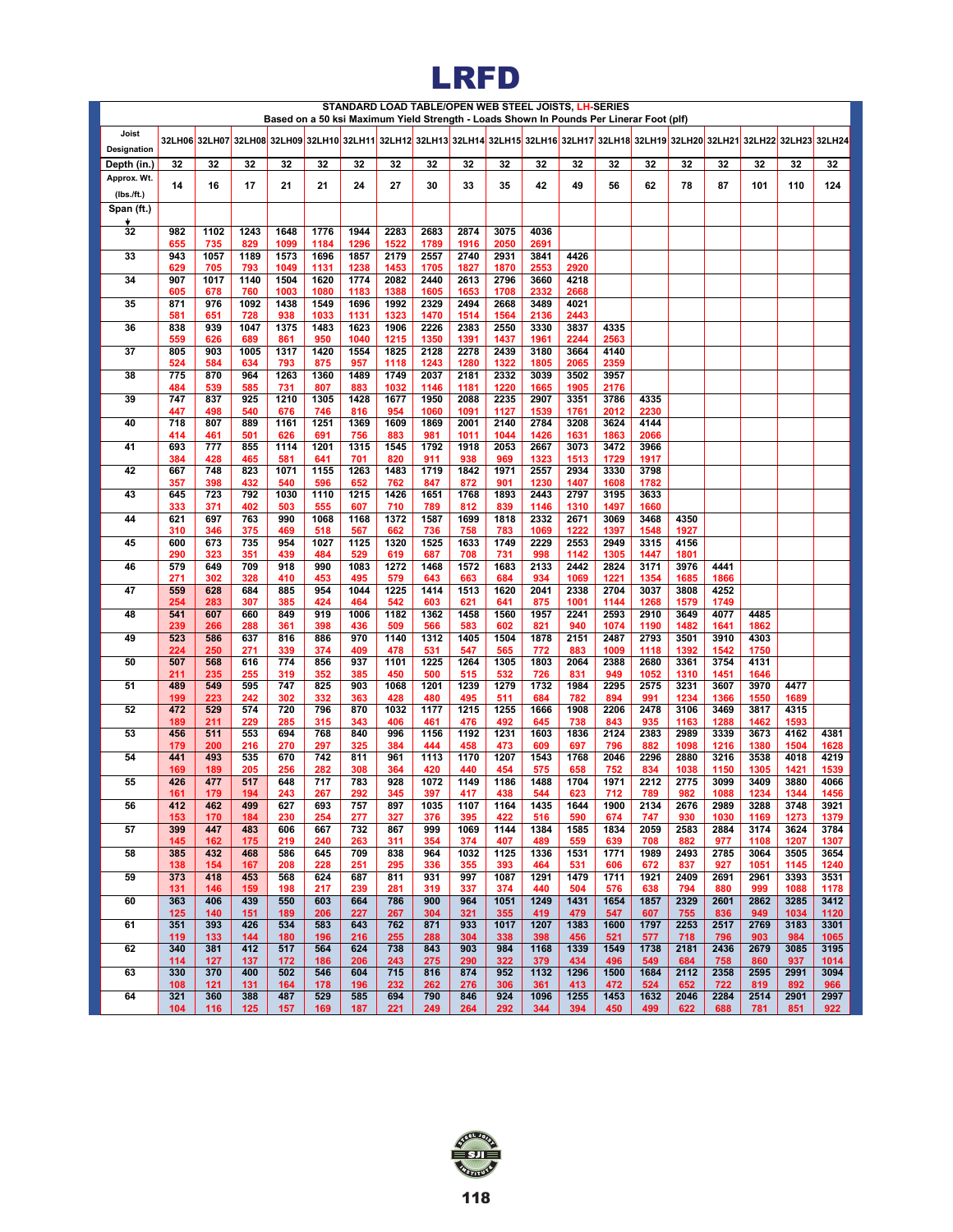# **LRFD**

|                         |            |             |             |              |              |              |              |              |              |              |              | STANDARD LOAD TABLE/OPEN WEB STEEL JOISTS, LH-SERIES | Based on a 50 ksi Maximum Yield Strength - Loads Shown In Pounds Per Linerar Foot (plf)                                              |              |              |              |              |              |              |
|-------------------------|------------|-------------|-------------|--------------|--------------|--------------|--------------|--------------|--------------|--------------|--------------|------------------------------------------------------|--------------------------------------------------------------------------------------------------------------------------------------|--------------|--------------|--------------|--------------|--------------|--------------|
| Joist                   |            |             |             |              |              |              |              |              |              |              |              |                                                      |                                                                                                                                      |              |              |              |              |              |              |
| Designation             |            |             |             |              |              |              |              |              |              |              |              |                                                      | 32LH06 32LH07 32LH08 32LH09 32LH10 32LH11 32LH12 32LH13 32LH14 32LH16 32LH16 32LH17 32LH18 32LH19 32LH20 32LH21 32LH22 32LH23 32LH23 |              |              |              |              |              |              |
| Depth (in.)             | 32         | 32          | 32          | 32           | 32           | 32           | 32           | 32           | 32           | 32           | 32           | 32                                                   | 32                                                                                                                                   | 32           | 32           | 32           | 32           | 32           | 32           |
| Approx. Wt.             | 14         | 16          | 17          | 21           | 21           | 24           | 27           | 30           | 33           | 35           | 42           | 49                                                   | 56                                                                                                                                   | 62           | 78           | 87           | 101          | 110          | 124          |
| (IbsJft.)<br>Span (ft.) |            |             |             |              |              |              |              |              |              |              |              |                                                      |                                                                                                                                      |              |              |              |              |              |              |
|                         |            |             |             |              |              |              |              |              |              |              |              |                                                      |                                                                                                                                      |              |              |              |              |              |              |
| 32                      | 982<br>655 | 1102<br>735 | 1243<br>829 | 1648<br>1099 | 1776<br>1184 | 1944<br>1296 | 2283<br>1522 | 2683<br>1789 | 2874<br>1916 | 3075<br>2050 | 4036<br>2691 |                                                      |                                                                                                                                      |              |              |              |              |              |              |
| 33                      | 943        | 1057        | 1189        | 1573         | 1696         | 1857         | 2179         | 2557         | 2740         | 2931         | 3841         | 4426                                                 |                                                                                                                                      |              |              |              |              |              |              |
| 34                      | 629<br>907 | 705<br>1017 | 793<br>1140 | 1049<br>1504 | 1131<br>1620 | 1238<br>1774 | 1453<br>2082 | 1705<br>2440 | 1827<br>2613 | 1870<br>2796 | 2553<br>3660 | 2920<br>4218                                         |                                                                                                                                      |              |              |              |              |              |              |
|                         | 605        | 678         | 760         | 1003         | 1080         | 1183         | 1388         | 1605         | 1653         | 1708         | 2332         | 2668                                                 |                                                                                                                                      |              |              |              |              |              |              |
| 35                      | 871<br>581 | 976<br>651  | 1092<br>728 | 1438<br>938  | 1549<br>1033 | 1696<br>1131 | 1992<br>1323 | 2329<br>1470 | 2494<br>1514 | 2668<br>1564 | 3489<br>2136 | 4021<br>2443                                         |                                                                                                                                      |              |              |              |              |              |              |
| 36                      | 838        | 939         | 1047        | 1375         | 1483         | 1623         | 1906         | 2226         | 2383         | 2550         | 3330         | 3837                                                 | 4335                                                                                                                                 |              |              |              |              |              |              |
| 37                      | 559<br>805 | 626<br>903  | 689<br>1005 | 861<br>1317  | 950<br>1420  | 1040<br>1554 | 1215<br>1825 | 1350<br>2128 | 1391<br>2278 | 1437<br>2439 | 1961<br>3180 | 2244<br>3664                                         | 2563<br>4140                                                                                                                         |              |              |              |              |              |              |
|                         | 524        | 584         | 634         | 793          | 875          | 957          | 1118         | 1243         | 1280         | 1322         | 1805         | 2065                                                 | 2359                                                                                                                                 |              |              |              |              |              |              |
| 38                      | 775<br>484 | 870<br>539  | 964<br>585  | 1263<br>731  | 1360<br>807  | 1489<br>883  | 1749<br>1032 | 2037<br>1146 | 2181<br>1181 | 2332<br>1220 | 3039<br>1665 | 3502<br>1905                                         | 3957<br>2176                                                                                                                         |              |              |              |              |              |              |
| 39                      | 747        | 837         | 925         | 1210         | 1305         | 1428         | 1677         | 1950         | 2088         | 2235         | 2907         | 3351                                                 | 3786                                                                                                                                 | 4335         |              |              |              |              |              |
| 40                      | 447<br>718 | 498<br>807  | 540<br>889  | 676<br>1161  | 746<br>1251  | 816<br>1369  | 954<br>1609  | 1060<br>1869 | 1091<br>2001 | 1127<br>2140 | 1539<br>2784 | 1761<br>3208                                         | 2012<br>3624                                                                                                                         | 2230<br>4144 |              |              |              |              |              |
|                         | 414        | 461         | 501         | 626          | 691          | 756          | 883          | 981          | 1011         | 1044         | 1426         | 1631                                                 | 1863                                                                                                                                 | 2066         |              |              |              |              |              |
| 41                      | 693        | 777         | 855         | 1114         | 1201         | 1315         | 1545         | 1792         | 1918         | 2053         | 2667         | 3073                                                 | 3472                                                                                                                                 | 3966         |              |              |              |              |              |
| 42                      | 384<br>667 | 428<br>748  | 465<br>823  | 581<br>1071  | 641<br>1155  | 701<br>1263  | 820<br>1483  | 911<br>1719  | 938<br>1842  | 969<br>1971  | 1323<br>2557 | 1513<br>2934                                         | 1729<br>3330                                                                                                                         | 1917<br>3798 |              |              |              |              |              |
|                         | 357        | 398         | 432         | 540          | 596          | 652          | 762          | 847          | 872          | 901          | 1230         | 1407                                                 | 1608                                                                                                                                 | 1782         |              |              |              |              |              |
| 43                      | 645<br>333 | 723<br>371  | 792<br>402  | 1030<br>503  | 1110<br>555  | 1215<br>607  | 1426<br>710  | 1651<br>789  | 1768<br>812  | 1893<br>839  | 2443<br>1146 | 2797<br>1310                                         | 3195<br>1497                                                                                                                         | 3633<br>1660 |              |              |              |              |              |
| 44                      | 621        | 697         | 763         | 990          | 1068         | 1168         | 1372         | 1587         | 1699         | 1818         | 2332         | 2671                                                 | 3069                                                                                                                                 | 3468         | 4350         |              |              |              |              |
| 45                      | 310<br>600 | 346<br>673  | 375<br>735  | 469<br>954   | 518<br>1027  | 567<br>1125  | 662<br>1320  | 736<br>1525  | 758<br>1633  | 783<br>1749  | 1069<br>2229 | 1222<br>2553                                         | 1397<br>2949                                                                                                                         | 1548<br>3315 | 1927<br>4156 |              |              |              |              |
|                         | 290        | 323         | 351         | 439          | 484          | 529          | 619          | 687          | 708          | 731          | 998          | 1142                                                 | 1305                                                                                                                                 | 1447         | 1801         |              |              |              |              |
| 46                      | 579<br>271 | 649<br>302  | 709<br>328  | 918<br>410   | 990<br>453   | 1083<br>495  | 1272<br>579  | 1468<br>643  | 1572<br>663  | 1683<br>684  | 2133<br>934  | 2442<br>1069                                         | 2824<br>1221                                                                                                                         | 3171<br>1354 | 3976<br>1685 | 4441<br>1866 |              |              |              |
| 47                      | 559        | 628         | 684         | 885          | 954          | 1044         | 1225         | 1414         | 1513         | 1620         | 2041         | 2338                                                 | 2704                                                                                                                                 | 3037         | 3808         | 4252         |              |              |              |
| 48                      | 254<br>541 | 283<br>607  | 307<br>660  | 385<br>849   | 424<br>919   | 464<br>1006  | 542<br>1182  | 603<br>1362  | 621<br>1458  | 641<br>1560  | 875<br>1957  | 1001<br>2241                                         | 1144<br>2593                                                                                                                         | 1268<br>2910 | 1579<br>3649 | 1749<br>4077 | 4485         |              |              |
|                         | 239        | 266         | 288         | 361          | 398          | 436          | 509          | 566          | 583          | 602          | 821          | 940                                                  | 1074                                                                                                                                 | 1190         | 1482         | 1641         | 1862         |              |              |
| 49                      | 523<br>224 | 586<br>250  | 637<br>271  | 816<br>339   | 886<br>374   | 970<br>409   | 1140<br>478  | 1312<br>531  | 1405<br>547  | 1504<br>565  | 1878<br>772  | 2151<br>883                                          | 2487<br>1009                                                                                                                         | 2793<br>1118 | 3501<br>1392 | 3910<br>1542 | 4303<br>1750 |              |              |
| 50                      | 507        | 568         | 616         | 774          | 856          | 937          | 1101         | 1225         | 1264         | 1305         | 1803         | 2064                                                 | 2388                                                                                                                                 | 2680         | 3361         | 3754         | 4131         |              |              |
| 51                      | 211<br>489 | 235<br>549  | 255<br>595  | 319<br>747   | 352<br>825   | 385<br>903   | 450<br>1068  | 500<br>1201  | 515<br>1239  | 532<br>1279  | 726<br>1732  | 831<br>1984                                          | 949<br>2295                                                                                                                          | 1052<br>2575 | 1310<br>3231 | 1451<br>3607 | 1646<br>3970 | 4477         |              |
|                         | 199        | 223         | 242         | 302          | 332          | 363          | 428          | 480          | 495          | 511          | 684          | 782                                                  | 894                                                                                                                                  | 991          | 1234         | 1366         | 1550         | 1689         |              |
| 52                      | 472<br>189 | 529         | 574<br>229  | 720<br>285   | 796          | 870          | 1032<br>406  | 1177<br>461  | 1215         | 1255<br>492  | 1666         | 1908                                                 | 2206                                                                                                                                 | 2478<br>935  | 3106         | 3469         | 3817<br>1462 | 4315<br>1593 |              |
| 53                      | 456        | 211<br>511  | 553         | 694          | 315<br>768   | 343<br>840   | 996          | 1156         | 476<br>1192  | 1231         | 645<br>1603  | 738<br>1836                                          | 843<br>2124                                                                                                                          | 2383         | 1163<br>2989 | 1288<br>3339 | 3673         | 4162         | 4381         |
| 54                      | 179<br>441 | 200<br>493  | 216<br>535  | 270<br>670   | 297<br>742   | 325<br>811   | 384<br>961   | 444<br>1113  | 458<br>1170  | 473<br>1207  | 609<br>1543  | 697<br>1768                                          | 796<br>2046                                                                                                                          | 882<br>2296  | 1098<br>2880 | 1216<br>3216 | 1380<br>3538 | 1504<br>4018 | 1628<br>4219 |
|                         | 169        | 189         | 205         | 256          | 282          | 308          | 364          | 420          | 440          | 454          | 575          | 658                                                  | 752                                                                                                                                  | 834          | 1038         | 1150         | 1305         | 1421         | 1539         |
| 55                      | 426<br>161 | 477<br>179  | 517<br>194  | 648<br>243   | 717<br>267   | 783<br>292   | 928<br>345   | 1072<br>397  | 1149<br>417  | 1186<br>438  | 1488<br>544  | 1704<br>623                                          | 1971<br>712                                                                                                                          | 2212<br>789  | 2775<br>982  | 3099<br>1088 | 3409<br>1234 | 3880<br>1344 | 4066<br>1456 |
| 56                      | 412        | 462         | 499         | 627          | 693          | 757          | 897          | 1035         | 1107         | 1164         | 1435         | 1644                                                 | 1900                                                                                                                                 | 2134         | 2676         | 2989         | 3288         | 3748         | 3921         |
| 57                      | 153<br>399 | 170<br>447  | 184<br>483  | 230<br>606   | 254<br>667   | 277<br>732   | 327<br>867   | 376<br>999   | 395<br>1069  | 422<br>1144  | 516<br>1384  | 590<br>1585                                          | 674<br>1834                                                                                                                          | 747<br>2059  | 930<br>2583  | 1030<br>2884 | 1169<br>3174 | 1273<br>3624 | 1379<br>3784 |
|                         | 145        | 162         | 175         | 219          | 240          | 263          | 311          | 354          | 374          | 407          | 489          | 559                                                  | 639                                                                                                                                  | 708          | 882          | 977          | 1108         | 1207         | 1307         |
| 58                      | 385        | 432         | 468         | 586          | 645          | 709          | 838          | 964          | 1032         | 1125         | 1336         | 1531                                                 | 1771                                                                                                                                 | 1989         | 2493         | 2785         | 3064         | 3505         | 3654         |
| 59                      | 138<br>373 | 154<br>418  | 167<br>453  | 208<br>568   | 228<br>624   | 251<br>687   | 295<br>811   | 336<br>931   | 355<br>997   | 393<br>1087  | 464<br>1291  | 531<br>1479                                          | 606<br>1711                                                                                                                          | 672<br>1921  | 837<br>2409  | 927<br>2691  | 1051<br>2961 | 1145<br>3393 | 1240<br>3531 |
|                         | 131        | 146         | 159         | 198          | 217          | 239          | 281          | 319          | 337          | 374          | 440          | 504                                                  | 576                                                                                                                                  | 638          | 794          | 880          | 999          | 1088         | 1178         |
| 60                      | 363<br>125 | 406<br>140  | 439<br>151  | 550<br>189   | 603<br>206   | 664<br>227   | 786<br>267   | 900<br>304   | 964<br>321   | 1051<br>355  | 1249<br>419  | 1431<br>479                                          | 1654<br>547                                                                                                                          | 1857<br>607  | 2329<br>755  | 2601<br>836  | 2862<br>949  | 3285<br>1034 | 3412<br>1120 |
| 61                      | 351        | 393         | 426         | 534          | 583          | 643          | 762          | 871          | 933          | 1017         | 1207         | 1383                                                 | 1600                                                                                                                                 | 1797         | 2253         | 2517         | 2769         | 3183         | 3301         |
| 62                      | 119<br>340 | 133<br>381  | 144<br>412  | 180<br>517   | 196<br>564   | 216<br>624   | 255<br>738   | 288<br>843   | 304<br>903   | 338<br>984   | 398<br>1168  | 456<br>1339                                          | 521<br>1549                                                                                                                          | 577<br>1738  | 718<br>2181  | 796<br>2436  | 903<br>2679  | 984<br>3085  | 1065<br>3195 |
|                         | 114        | 127         | 137         | 172          | 186          | 206          | 243          | 275          | 290          | 322          | 379          | 434                                                  | 496                                                                                                                                  | 549          | 684          | 758          | 860          | 937          | 1014         |
| 63                      | 330<br>108 | 370<br>121  | 400<br>131  | 502<br>164   | 546<br>178   | 604<br>196   | 715<br>232   | 816<br>262   | 874<br>276   | 952<br>306   | 1132<br>361  | 1296<br>413                                          | 1500<br>472                                                                                                                          | 1684<br>524  | 2112<br>652  | 2358<br>722  | 2595<br>819  | 2991<br>892  | 3094<br>966  |
| 64                      | 321        | 360         | 388         | 487          | 529          | 585          | 694          | 790          | 846          | 924          | 1096         | 1255                                                 | 1453                                                                                                                                 | 1632         | 2046         | 2284         | 2514         | 2901         | 2997         |
|                         | 104        | 116         | 125         | 157          | 169          | 187          | 221          | 249          | 264          | 292          | 344          | 394                                                  | 450                                                                                                                                  | 499          | 622          | 688          | 781          | 851          | 922          |

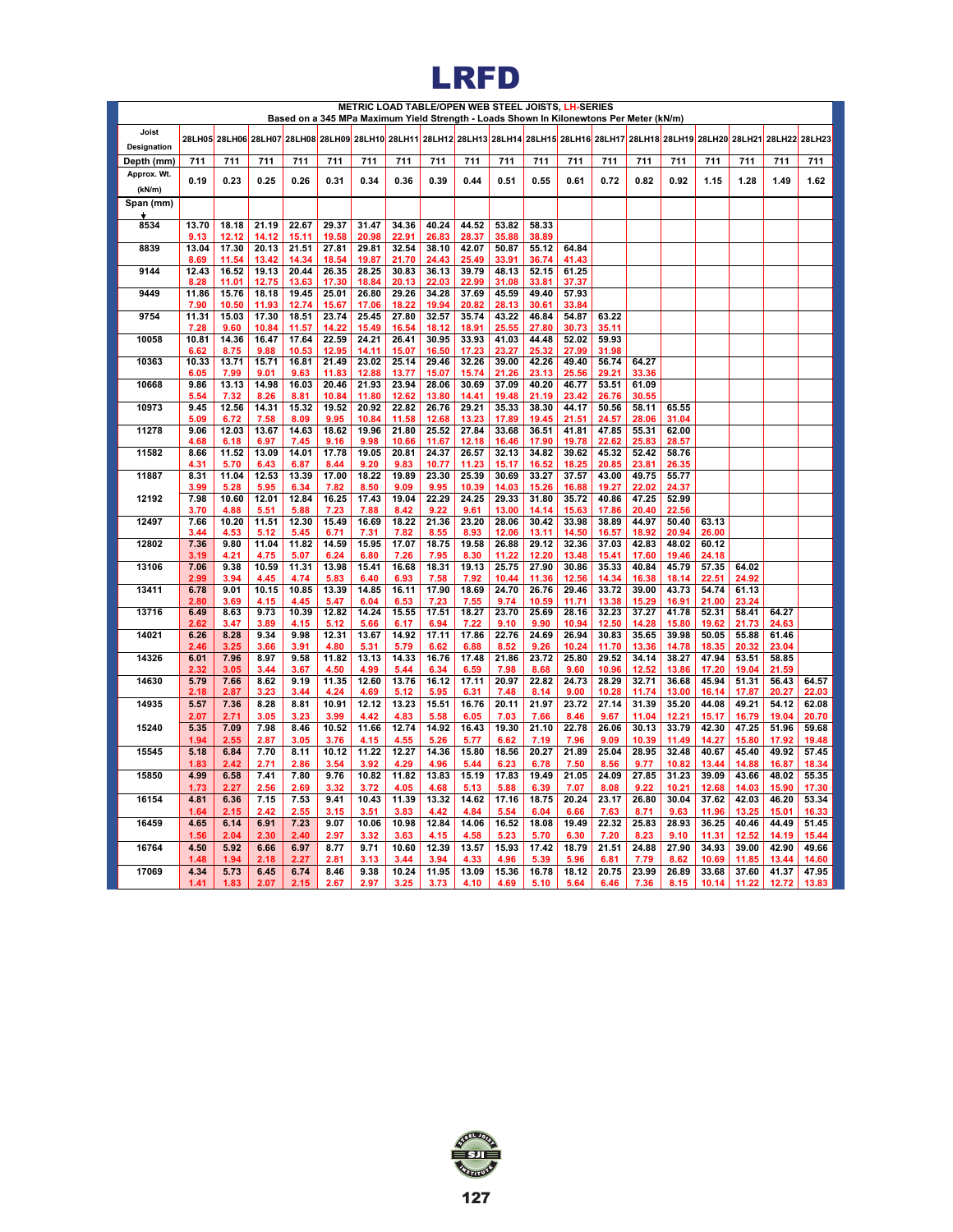## **LRFD**

|                           |               |                |                |                | Based on a 345 MPa Maximum Yield Strength - Loads Shown In Kilonewtons Per Meter (kN/m)                                              |                |                |                |                | METRIC LOAD TABLE/OPEN WEB STEEL JOISTS, LH-SERIES |                |                |                |                |                |                |                |                |                |
|---------------------------|---------------|----------------|----------------|----------------|--------------------------------------------------------------------------------------------------------------------------------------|----------------|----------------|----------------|----------------|----------------------------------------------------|----------------|----------------|----------------|----------------|----------------|----------------|----------------|----------------|----------------|
| Joist                     |               |                |                |                | 28LH05 28LH06 28LH07 28LH08 28LH09 28LH10 28LH11 28LH12 28LH13 28LH14 28LH15 28LH16 28LH17 28LH17 28LH19 28LH20 28LH21 28LH22 28LH23 |                |                |                |                |                                                    |                |                |                |                |                |                |                |                |                |
| Designation<br>Depth (mm) | 711           | 711            | 711            | 711            | 711                                                                                                                                  | 711            | 711            | 711            | 711            | 711                                                | 711            | 711            | 711            | 711            | 711            | 711            | 711            | 711            | 711            |
| Approx. Wt.               |               |                |                |                |                                                                                                                                      |                |                |                |                |                                                    |                |                |                |                |                |                |                |                |                |
| (kN/m)                    | 0.19          | 0.23           | 0.25           | 0.26           | 0.31                                                                                                                                 | 0.34           | 0.36           | 0.39           | 0.44           | 0.51                                               | 0.55           | 0.61           | 0.72           | 0.82           | 0.92           | 1.15           | 1.28           | 1.49           | 1.62           |
| Span (mm)                 |               |                |                |                |                                                                                                                                      |                |                |                |                |                                                    |                |                |                |                |                |                |                |                |                |
| 8534                      | 13.70         | 18.18          | 21.19          | 22.67          | 29.37                                                                                                                                | 31.47          | 34.36          | 40.24          | 44.52          | 53.82                                              | 58.33          |                |                |                |                |                |                |                |                |
| 8839                      | 9.13<br>13.04 | 12.12<br>17.30 | 14.12<br>20.13 | 15.11<br>21.51 | 19.58<br>27.81                                                                                                                       | 20.98<br>29.81 | 22.91<br>32.54 | 26.83<br>38.10 | 28.37<br>42.07 | 35.88<br>50.87                                     | 38.89<br>55.12 | 64.84          |                |                |                |                |                |                |                |
|                           | 8.69          | 11.54          | 13.42          | 14.34          | 18.54                                                                                                                                | 19.87          | 21.70          | 24.43          | 25.49          | 33.91                                              | 36.74          | 41.43          |                |                |                |                |                |                |                |
| 9144                      | 12.43<br>8.28 | 16.52<br>11.01 | 19.13<br>12.75 | 20.44<br>13.63 | 26.35<br>17.30                                                                                                                       | 28.25<br>18.84 | 30.83<br>20.13 | 36.13<br>22.03 | 39.79<br>22.99 | 48.13<br>31.08                                     | 52.15<br>33.81 | 61.25<br>37.37 |                |                |                |                |                |                |                |
| 9449                      | 11.86         | 15.76          | 18.18          | 19.45          | 25.01                                                                                                                                | 26.80          | 29.26          | 34.28          | 37.69          | 45.59                                              | 49.40          | 57.93          |                |                |                |                |                |                |                |
| 9754                      | 7.90<br>11.31 | 10.50<br>15.03 | 11.93<br>17.30 | 12.74<br>18.51 | 15.67<br>23.74                                                                                                                       | 17.06<br>25.45 | 18.22<br>27.80 | 19.94<br>32.57 | 20.82<br>35.74 | 28.13<br>43.22                                     | 30.61<br>46.84 | 33.84<br>54.87 | 63.22          |                |                |                |                |                |                |
| 10058                     | 7.28<br>10.81 | 9.60<br>14.36  | 10.84<br>16.47 | 11.57<br>17.64 | 14.22<br>22.59                                                                                                                       | 15.49          | 16.54          | 18.12<br>30.95 | 18.91          | 25.55<br>41.03                                     | 27.80          | 30.73<br>52.02 | 35.11<br>59.93 |                |                |                |                |                |                |
|                           | 6.62          | 8.75           | 9.88           | 10.53          | 12.95                                                                                                                                | 24.21<br>14.11 | 26.41<br>15.07 | 16.50          | 33.93<br>17.23 | 23.27                                              | 44.48<br>25.32 | 27.99          | 31.98          |                |                |                |                |                |                |
| 10363                     | 10.33<br>6.05 | 13.71          | 15.71<br>9.01  | 16.81          | 21.49<br>11.83                                                                                                                       | 23.02<br>12.88 | 25.14<br>13.77 | 29.46<br>15.07 | 32.26<br>15.74 | 39.00<br>21.26                                     | 42.26<br>23.13 | 49.40          | 56.74<br>29.21 | 64.27<br>33.36 |                |                |                |                |                |
| 10668                     | 9.86          | 7.99<br>13.13  | 14.98          | 9.63<br>16.03  | 20.46                                                                                                                                | 21.93          | 23.94          | 28.06          | 30.69          | 37.09                                              | 40.20          | 25.56<br>46.77 | 53.51          | 61.09          |                |                |                |                |                |
| 10973                     | 5.54<br>9.45  | 7.32<br>12.56  | 8.26<br>14.31  | 8.81<br>15.32  | 10.84<br>19.52                                                                                                                       | 11.80<br>20.92 | 12.62<br>22.82 | 13.80<br>26.76 | 14.41<br>29.21 | 19.48<br>35.33                                     | 21.19<br>38.30 | 23.42<br>44.17 | 26.76<br>50.56 | 30.55<br>58.11 | 65.55          |                |                |                |                |
|                           | 5.09          | 6.72           | 7.58           | 8.09           | 9.95                                                                                                                                 | 10.84          | 11.58          | 12.68          | 13.23          | 17.89                                              | 19.45          | 21.51          | 24.57          | 28.06          | 31.04          |                |                |                |                |
| 11278                     | 9.06<br>4.68  | 12.03<br>6.18  | 13.67<br>6.97  | 14.63<br>7.45  | 18.62<br>9.16                                                                                                                        | 19.96<br>9.98  | 21.80<br>10.66 | 25.52<br>11.67 | 27.84<br>12.18 | 33.68<br>16.46                                     | 36.51<br>17.90 | 41.81<br>19.78 | 47.85<br>22.62 | 55.31<br>25.83 | 62.00<br>28.57 |                |                |                |                |
| 11582                     | 8.66          | 11.52          | 13.09          | 14.01          | 17.78                                                                                                                                | 19.05          | 20.81          | 24.37          | 26.57          | 32.13                                              | 34.82          | 39.62          | 45.32          | 52.42          | 58.76          |                |                |                |                |
| 11887                     | 4.31<br>8.31  | 5.70<br>11.04  | 6.43<br>12.53  | 6.87<br>13.39  | 8.44<br>17.00                                                                                                                        | 9.20<br>18.22  | 9.83<br>19.89  | 10.77<br>23.30 | 11.23<br>25.39 | 15.17<br>30.69                                     | 16.52<br>33.27 | 18.25<br>37.57 | 20.85<br>43.00 | 23.81<br>49.75 | 26.35<br>55.77 |                |                |                |                |
|                           | 3.99          | 5.28           | 5.95           | 6.34           | 7.82                                                                                                                                 | 8.50           | 9.09           | 9.95           | 10.39          | 14.03                                              | 15.26          | 16.88          | 19.27          | 22.02          | 24.37          |                |                |                |                |
| 12192                     | 7.98<br>3.70  | 10.60<br>4.88  | 12.01<br>5.51  | 12.84<br>5.88  | 16.25<br>7.23                                                                                                                        | 17.43<br>7.88  | 19.04<br>8.42  | 22.29<br>9.22  | 24.25<br>9.61  | 29.33<br>13.00                                     | 31.80<br>14.14 | 35.72<br>15.63 | 40.86<br>17.86 | 47.25<br>20.40 | 52.99<br>22.56 |                |                |                |                |
| 12497                     | 7.66          | 10.20          | 11.51          | 12.30          | 15.49                                                                                                                                | 16.69          | 18.22          | 21.36          | 23.20          | 28.06                                              | 30.42          | 33.98          | 38.89          | 44.97          | 50.40          | 63.13          |                |                |                |
| 12802                     | 3.44<br>7.36  | 4.53<br>9.80   | 5.12<br>11.04  | 5.45<br>11.82  | 6.71<br>14.59                                                                                                                        | 7.31<br>15.95  | 7.82<br>17.07  | 8.55<br>18.75  | 8.93<br>19.58  | 12.06<br>26.88                                     | 13.11<br>29.12 | 14.50<br>32.36 | 16.57<br>37.03 | 18.92<br>42.83 | 20.94<br>48.02 | 26.00<br>60.12 |                |                |                |
|                           | 3.19          | 4.21           | 4.75           | 5.07           | 6.24                                                                                                                                 | 6.80           | 7.26           | 7.95           | 8.30           | 11.22                                              | 12.20          | 13.48          | 15.41          | 17.60          | 19.46          | 24.18          |                |                |                |
| 13106                     | 7.06<br>2.99  | 9.38<br>3.94   | 10.59<br>4.45  | 11.31<br>4.74  | 13.98<br>5.83                                                                                                                        | 15.41<br>6.40  | 16.68<br>6.93  | 18.31<br>7.58  | 19.13<br>7.92  | 25.75<br>10.44                                     | 27.90<br>11.36 | 30.86<br>12.56 | 35.33<br>14.34 | 40.84<br>16.38 | 45.79<br>18.14 | 57.35<br>22.51 | 64.02<br>24.92 |                |                |
| 13411                     | 6.78<br>2.80  | 9.01           | 10.15          | 10.85          | 13.39                                                                                                                                | 14.85          | 16.11          | 17.90          | 18.69          | 24.70                                              | 26.76          | 29.46          | 33.72          | 39.00          | 43.73          | 54.74          | 61.13          |                |                |
| 13716                     | 6.49          | 3.69<br>8.63   | 4.15<br>9.73   | 4.45<br>10.39  | 5.47<br>12.82                                                                                                                        | 6.04<br>14.24  | 6.53<br>15.55  | 7.23<br>17.51  | 7.55<br>18.27  | 9.74<br>23.70                                      | 10.59<br>25.69 | 11.71<br>28.16 | 13.38<br>32.23 | 15.29<br>37.27 | 16.91<br>41.78 | 21.00<br>52.31 | 23.24<br>58.41 | 64.27          |                |
| 14021                     | 2.62<br>6.26  | 3.47<br>8.28   | 3.89<br>9.34   | 4.15<br>9.98   | 5.12<br>12.31                                                                                                                        | 5.66<br>13.67  | 6.17<br>14.92  | 6.94<br>17.11  | 7.22<br>17.86  | 9.10<br>22.76                                      | 9.90<br>24.69  | 10.94<br>26.94 | 12.50<br>30.83 | 14.28<br>35.65 | 15.80<br>39.98 | 19.62<br>50.05 | 21.73<br>55.88 | 24.63<br>61.46 |                |
|                           | 2.46          | 3.25           | 3.66           | 3.91           | 4.80                                                                                                                                 | 5.31           | 5.79           | 6.62           | 6.88           | 8.52                                               | 9.26           | 10.24          | 11.70          | 13.36          | 14.78          | 18.35          | 20.32          | 23.04          |                |
| 14326                     | 6.01<br>2.32  | 7.96<br>3.05   | 8.97<br>3.44   | 9.58<br>3.67   | 11.82<br>4.50                                                                                                                        | 13.13<br>4.99  | 14.33<br>5.44  | 16.76<br>6.34  | 17.48<br>6.59  | 21.86<br>7.98                                      | 23.72<br>8.68  | 25.80<br>9.60  | 29.52<br>10.96 | 34.14<br>12.52 | 38.27<br>13.86 | 47.94<br>17.20 | 53.51<br>19.04 | 58.85<br>21.59 |                |
| 14630                     | 5.79          | 7.66           | 8.62           | 9.19           | 11.35                                                                                                                                | 12.60          | 13.76          | 16.12          | 17.11          | 20.97                                              | 22.82          | 24.73          | 28.29          | 32.71          | 36.68          | 45.94          | 51.31          | 56.43          | 64.57          |
| 14935                     | 2.18<br>5.57  | 2.87<br>7.36   | 3.23<br>8.28   | 3.44<br>8.81   | 4.24<br>10.91                                                                                                                        | 4.69<br>12.12  | 5.12<br>13.23  | 5.95<br>15.51  | 6.31<br>16.76  | 7.48<br>20.11                                      | 8.14<br>21.97  | 9.00<br>23.72  | 10.28<br>27.14 | 11.74<br>31.39 | 13.00<br>35.20 | 16.14<br>44.08 | 17.87<br>49.21 | 20.27<br>54.12 | 22.03<br>62.08 |
|                           | 2.07          | 2.71           | 3.05           | 3.23           | 3.99                                                                                                                                 | 4.42           | 4.83           | 5.58           | 6.05           | 7.03                                               | 7.66           | 8.46           | 9.67           | 11.04          | 12.21          | 15.17          | 16.79          | 19.04          | 20.70          |
| 15240                     | 5.35<br>1.94  | 7.09<br>2.55   | 7.98<br>2.87   | 8.46<br>3.05   | 10.52<br>3.76                                                                                                                        | 11.66<br>4.15  | 12.74<br>4.55  | 14.92<br>5.26  | 16.43<br>5.77  | 19.30<br>6.62                                      | 21.10<br>7.19  | 22.78<br>7.96  | 26.06<br>9.09  | 30.13<br>10.39 | 33.79<br>11.49 | 42.30<br>14.27 | 47.25<br>15.80 | 51.96<br>17.92 | 59.68<br>19.48 |
| 15545                     | 5.18          | 6.84           | 7.70           | 8.11           | 10.12                                                                                                                                | 11.22          | 12.27          | 14.36          | 15.80          | 18.56                                              | 20.27          | 21.89          | 25.04          | 28.95          | 32.48          | 40.67          | 45.40          | 49.92          | 57.45          |
|                           | 1.83          | 2.42           | 2.71           | 2.86           | 3.54                                                                                                                                 | 3.92           | 4.29           | 4.96           | 5.44           | 6.23                                               | 6.78           | 7.50           | 8.56           | 9.77           | 10.82          | 13.44          | 14.88          | 16.87          | 18.34          |
| 15850                     | 4.99<br>1.73  | 6.58<br>2.27   | 7.41<br>2.56   | 7.80<br>2.69   | 9.76<br>3.32                                                                                                                         | 10.82<br>3.72  | 11.82<br>4.05  | 13.83<br>4.68  | 15.19<br>5.13  | 17.83<br>5.88                                      | 19.49<br>6.39  | 21.05<br>7.07  | 24.09<br>8.08  | 27.85<br>9.22  | 31.23<br>10.21 | 39.09<br>12.68 | 43.66<br>14.03 | 48.02<br>15.90 | 55.35<br>17.30 |
| 16154                     | 4.81          | 6.36           | 7.15           | 7.53           | 9.41                                                                                                                                 | 10.43          | 11.39          | 13.32          | 14.62          | 17.16                                              | 18.75          | 20.24          | 23.17          | 26.80          | 30.04          | 37.62          | 42.03          | 46.20          | 53.34          |
| 16459                     | 1.64<br>4.65  | 2.15<br>6.14   | 2.42<br>6.91   | 2.55<br>7.23   | 3.15<br>9.07                                                                                                                         | 3.51<br>10.06  | 3.83<br>10.98  | 4.42<br>12.84  | 4.84<br>14.06  | 5.54<br>16.52                                      | 6.04<br>18.08  | 6.66<br>19.49  | 7.63<br>22.32  | 8.71<br>25.83  | 9.63<br>28.93  | 11.96<br>36.25 | 13.25<br>40.46 | 15.01<br>44.49 | 16.33<br>51.45 |
|                           | 1.56          | 2.04           | 2.30           | 2.40           | 2.97                                                                                                                                 | 3.32           | 3.63           | 4.15           | 4.58           | 5.23                                               | 5.70           | 6.30           | 7.20           | 8.23           | 9.10           | 11.31          | 12.52          | 14.19          | 15.44          |
| 16764                     | 4.50<br>1.48  | 5.92<br>1.94   | 6.66<br>2.18   | 6.97<br>2.27   | 8.77<br>2.81                                                                                                                         | 9.71<br>3.13   | 10.60<br>3.44  | 12.39<br>3.94  | 13.57<br>4.33  | 15.93<br>4.96                                      | 17.42<br>5.39  | 18.79<br>5.96  | 21.51<br>6.81  | 24.88<br>7.79  | 27.90<br>8.62  | 34.93<br>10.69 | 39.00<br>11.85 | 42.90<br>13.44 | 49.66<br>14.60 |
| 17069                     | 4.34          | 5.73           | 6.45           | 6.74           | 8.46                                                                                                                                 | 9.38           | 10.24          | 11.95          | 13.09          | 15.36                                              | 16.78          | 18.12          | 20.75          | 23.99          | 26.89          | 33.68          | 37.60          | 41.37          | 47.95          |
|                           | 1.41          | 1.83           | 2.07           | 2.15           | 2.67                                                                                                                                 | 2.97           | 3.25           | 3.73           | 4.10           | 4.69                                               | 5.10           | 5.64           | 6.46           | 7.36           | 8.15           | 10.14          | 11.22          | 12.72          | 13.83          |

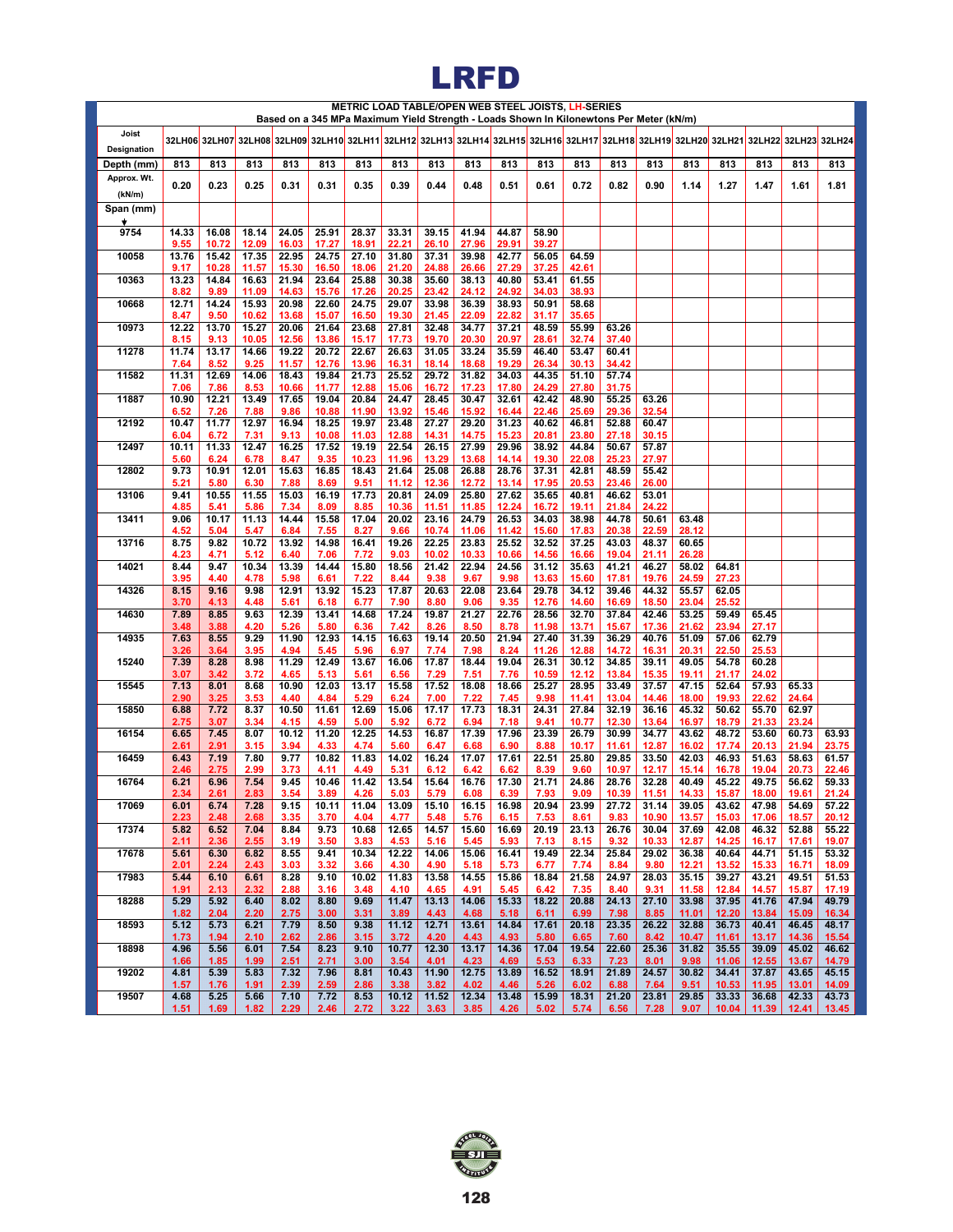# **LRFD**

|                      |               |                                                                                                                                                                |                |                |                |                |                |                | METRIC LOAD TABLE/OPEN WEB STEEL JOISTS, LH-SERIES<br>Based on a 345 MPa Maximum Yield Strength - Loads Shown In Kilonewtons Per Meter (kN/m) |                |                |                |                |                |                |                |                |                |                |
|----------------------|---------------|----------------------------------------------------------------------------------------------------------------------------------------------------------------|----------------|----------------|----------------|----------------|----------------|----------------|-----------------------------------------------------------------------------------------------------------------------------------------------|----------------|----------------|----------------|----------------|----------------|----------------|----------------|----------------|----------------|----------------|
| Joist<br>Designation |               | 32LH06  32LH07  32LH08  32LH09  32LH10  32LH11  32LH12  32LH13  32LH14  32LH16  32LH16  32LH17  32LH18  32LH19  32LH20  32LH21  32LH22  32LH23  32LH23  32LH24 |                |                |                |                |                |                |                                                                                                                                               |                |                |                |                |                |                |                |                |                |                |
| Depth (mm)           | 813           | 813                                                                                                                                                            | 813            | 813            | 813            | 813            | 813            | 813            | 813                                                                                                                                           | 813            | 813            | 813            | 813            | 813            | 813            | 813            | 813            | 813            | 813            |
| Approx. Wt.          | 0.20          | 0.23                                                                                                                                                           | 0.25           | 0.31           | 0.31           | 0.35           | 0.39           | 0.44           | 0.48                                                                                                                                          | 0.51           | 0.61           | 0.72           | 0.82           | 0.90           | 1.14           | 1.27           | 1.47           | 1.61           | 1.81           |
| (kN/m)<br>Span (mm)  |               |                                                                                                                                                                |                |                |                |                |                |                |                                                                                                                                               |                |                |                |                |                |                |                |                |                |                |
| ٠                    |               |                                                                                                                                                                |                |                |                |                |                |                |                                                                                                                                               |                |                |                |                |                |                |                |                |                |                |
| 9754                 | 14.33         | 16.08                                                                                                                                                          | 18.14          | 24.05          | 25.91          | 28.37          | 33.31          | 39.15          | 41.94                                                                                                                                         | 44.87          | 58.90          |                |                |                |                |                |                |                |                |
| 10058                | 9.55<br>13.76 | 10.72<br>15.42                                                                                                                                                 | 12.09<br>17.35 | 16.03<br>22.95 | 17.27<br>24.75 | 18.91<br>27.10 | 22.21<br>31.80 | 26.10<br>37.31 | 27.96<br>39.98                                                                                                                                | 29.91<br>42.77 | 39.27<br>56.05 | 64.59          |                |                |                |                |                |                |                |
| 10363                | 9.17<br>13.23 | 10.28<br>14.84                                                                                                                                                 | 11.57<br>16.63 | 15.30<br>21.94 | 16.50<br>23.64 | 18.06<br>25.88 | 21.20<br>30.38 | 24.88<br>35.60 | 26.66<br>38.13                                                                                                                                | 27.29<br>40.80 | 37.25<br>53.41 | 42.61<br>61.55 |                |                |                |                |                |                |                |
|                      | 8.82          | 9.89                                                                                                                                                           | 11.09          | 14.63          | 15.76          | 17.26          | 20.25          | 23.42          | 24.12                                                                                                                                         | 24.92          | 34.03          | 38.93          |                |                |                |                |                |                |                |
| 10668                | 12.71<br>8.47 | 14.24<br>9.50                                                                                                                                                  | 15.93<br>10.62 | 20.98<br>13.68 | 22.60<br>15.07 | 24.75<br>16.50 | 29.07<br>19.30 | 33.98<br>21.45 | 36.39<br>22.09                                                                                                                                | 38.93<br>22.82 | 50.91<br>31.17 | 58.68<br>35.65 |                |                |                |                |                |                |                |
| 10973                | 12.22         | 13.70                                                                                                                                                          | 15.27          | 20.06          | 21.64          | 23.68          | 27.81          | 32.48          | 34.77                                                                                                                                         | 37.21          | 48.59          | 55.99          | 63.26          |                |                |                |                |                |                |
|                      | 8.15          | 9.13                                                                                                                                                           | 10.05          | 12.56          | 13.86          | 15.17          | 17.73          | 19.70          | 20.30                                                                                                                                         | 20.97          | 28.61          | 32.74          | 37.40          |                |                |                |                |                |                |
| 11278                | 11.74<br>7.64 | 13.17<br>8.52                                                                                                                                                  | 14.66<br>9.25  | 19.22<br>11.57 | 20.72<br>12.76 | 22.67<br>13.96 | 26.63<br>16.31 | 31.05<br>18.14 | 33.24<br>18.68                                                                                                                                | 35.59<br>19.29 | 46.40<br>26.34 | 53.47<br>30.13 | 60.41<br>34.42 |                |                |                |                |                |                |
| 11582                | 11.31         | 12.69                                                                                                                                                          | 14.06          | 18.43          | 19.84          | 21.73          | 25.52          | 29.72          | 31.82                                                                                                                                         | 34.03          | 44.35          | 51.10          | 57.74          |                |                |                |                |                |                |
| 11887                | 7.06<br>10.90 | 7.86<br>12.21                                                                                                                                                  | 8.53<br>13.49  | 10.66<br>17.65 | 11.77<br>19.04 | 12.88<br>20.84 | 15.06<br>24.47 | 16.72<br>28.45 | 17.23<br>30.47                                                                                                                                | 17.80<br>32.61 | 24.29<br>42.42 | 27.80<br>48.90 | 31.75<br>55.25 | 63.26          |                |                |                |                |                |
|                      | 6.52          | 7.26                                                                                                                                                           | 7.88           | 9.86           | 10.88          | 11.90          | 13.92          | 15.46          | 15.92                                                                                                                                         | 16.44          | 22.46          | 25.69          | 29.36          | 32.54          |                |                |                |                |                |
| 12192                | 10.47         | 11.77                                                                                                                                                          | 12.97          | 16.94          | 18.25          | 19.97          | 23.48          | 27.27          | 29.20                                                                                                                                         | 31.23          | 40.62          | 46.81          | 52.88          | 60.47          |                |                |                |                |                |
| 12497                | 6.04<br>10.11 | 6.72<br>11.33                                                                                                                                                  | 7.31<br>12.47  | 9.13<br>16.25  | 10.08<br>17.52 | 11.03<br>19.19 | 12.88<br>22.54 | 14.31<br>26.15 | 14.75<br>27.99                                                                                                                                | 15.23<br>29.96 | 20.81<br>38.92 | 23.80<br>44.84 | 27.18<br>50.67 | 30.15<br>57.87 |                |                |                |                |                |
|                      | 5.60          | 6.24                                                                                                                                                           | 6.78           | 8.47           | 9.35           | 10.23          | 11.96          | 13.29          | 13.68                                                                                                                                         | 14.14          | 19.30          | 22.08          | 25.23          | 27.97          |                |                |                |                |                |
| 12802                | 9.73<br>5.21  | 10.91<br>5.80                                                                                                                                                  | 12.01<br>6.30  | 15.63<br>7.88  | 16.85<br>8.69  | 18.43<br>9.51  | 21.64<br>11.12 | 25.08<br>12.36 | 26.88<br>12.72                                                                                                                                | 28.76<br>13.14 | 37.31<br>17.95 | 42.81<br>20.53 | 48.59<br>23.46 | 55.42<br>26.00 |                |                |                |                |                |
| 13106                | 9.41          | 10.55<br>5.41                                                                                                                                                  | 11.55          | 15.03<br>7.34  | 16.19<br>8.09  | 17.73<br>8.85  | 20.81<br>10.36 | 24.09          | 25.80<br>11.85                                                                                                                                | 27.62          | 35.65<br>16.72 | 40.81          | 46.62          | 53.01<br>24.22 |                |                |                |                |                |
| 13411                | 4.85<br>9.06  | 10.17                                                                                                                                                          | 5.86<br>11.13  | 14.44          | 15.58          | 17.04          | 20.02          | 11.51<br>23.16 | 24.79                                                                                                                                         | 12.24<br>26.53 | 34.03          | 19.11<br>38.98 | 21.84<br>44.78 | 50.61          | 63.48          |                |                |                |                |
| 13716                | 4.52<br>8.75  | 5.04<br>9.82                                                                                                                                                   | 5.47<br>10.72  | 6.84<br>13.92  | 7.55<br>14.98  | 8.27<br>16.41  | 9.66<br>19.26  | 10.74<br>22.25 | 11.06<br>23.83                                                                                                                                | 11.42<br>25.52 | 15.60<br>32.52 | 17.83<br>37.25 | 20.38<br>43.03 | 22.59<br>48.37 | 28.12<br>60.65 |                |                |                |                |
| 14021                | 4.23<br>8.44  | 4.71<br>9.47                                                                                                                                                   | 5.12<br>10.34  | 6.40<br>13.39  | 7.06<br>14.44  | 7.72<br>15.80  | 9.03<br>18.56  | 10.02<br>21.42 | 10.33<br>22.94                                                                                                                                | 10.66<br>24.56 | 14.56<br>31.12 | 16.66<br>35.63 | 19.04<br>41.21 | 21.11<br>46.27 | 26.28<br>58.02 | 64.81          |                |                |                |
| 14326                | 3.95<br>8.15  | 4.40<br>9.16                                                                                                                                                   | 4.78<br>9.98   | 5.98<br>12.91  | 6.61<br>13.92  | 7.22<br>15.23  | 8.44<br>17.87  | 9.38<br>20.63  | 9.67<br>22.08                                                                                                                                 | 9.98<br>23.64  | 13.63<br>29.78 | 15.60<br>34.12 | 17.81<br>39.46 | 19.76<br>44.32 | 24.59<br>55.57 | 27.23<br>62.05 |                |                |                |
| 14630                | 3.70<br>7.89  | 4.13<br>8.85                                                                                                                                                   | 4.48<br>9.63   | 5.61<br>12.39  | 6.18<br>13.41  | 6.77<br>14.68  | 7.90<br>17.24  | 8.80<br>19.87  | 9.06<br>21.27                                                                                                                                 | 9.35<br>22.76  | 12.76<br>28.56 | 14.60<br>32.70 | 16.69<br>37.84 | 18.50<br>42.46 | 23.04<br>53.25 | 25.52<br>59.49 | 65.45          |                |                |
| 14935                | 3.48<br>7.63  | 3.88<br>8.55                                                                                                                                                   | 4.20<br>9.29   | 5.26<br>11.90  | 5.80<br>12.93  | 6.36<br>14.15  | 7.42<br>16.63  | 8.26<br>19.14  | 8.50<br>20.50                                                                                                                                 | 8.78<br>21.94  | 11.98<br>27.40 | 13.71<br>31.39 | 15.67<br>36.29 | 17.36<br>40.76 | 21.62<br>51.09 | 23.94<br>57.06 | 27.17<br>62.79 |                |                |
| 15240                | 3.26<br>7.39  | 3.64<br>8.28                                                                                                                                                   | 3.95<br>8.98   | 4.94<br>11.29  | 5.45<br>12.49  | 5.96<br>13.67  | 6.97<br>16.06  | 7.74<br>17.87  | 7.98<br>18.44                                                                                                                                 | 8.24<br>19.04  | 11.26<br>26.31 | 12.88<br>30.12 | 14.72<br>34.85 | 16.31<br>39.11 | 20.31<br>49.05 | 22.50<br>54.78 | 25.53<br>60.28 |                |                |
|                      | 3.07          | 3.42                                                                                                                                                           | 3.72           | 4.65           | 5.13           | 5.61           | 6.56           | 7.29           | 7.51                                                                                                                                          | 7.76           | 10.59          | 12.12          | 13.84          | 15.35          | 19.11          | 21.17          | 24.02          |                |                |
| 15545                | 7.13<br>2.90  | 8.01<br>3.25                                                                                                                                                   | 8.68<br>3.53   | 10.90<br>4.40  | 12.03<br>4.84  | 13.17<br>5.29  | 15.58<br>6.24  | 17.52<br>7.00  | 18.08<br>7.22                                                                                                                                 | 18.66<br>7.45  | 25.27<br>9.98  | 28.95<br>11.41 | 33.49<br>13.04 | 37.57<br>14.46 | 47.15<br>18.00 | 52.64<br>19.93 | 57.93<br>22.62 | 65.33<br>24.64 |                |
| 15850                | 6.88          | 7.72                                                                                                                                                           | 8.37           | 10.50          | 11.61          | 12.69          | 15.06          | 17.17          | 17.73                                                                                                                                         | 18.31          | 24.31          | 27.84          | 32.19          | 36.16          | 45.32          | 50.62          | 55.70          | 62.97          |                |
| 16154                | 2.75<br>6.65  | 3.07<br>7.45                                                                                                                                                   | 3.34<br>8.07   | 4.15<br>10.12  | 4.59<br>11.20  | 5.00<br>12.25  | 5.92<br>14.53  | 6.72<br>16.87  | 6.94<br>17.39                                                                                                                                 | 7.18<br>17.96  | 9.41<br>23.39  | 10.77<br>26.79 | 12.30<br>30.99 | 13.64<br>34.77 | 16.97<br>43.62 | 18.79<br>48.72 | 21.33<br>53.60 | 23.24<br>60.73 | 63.93          |
|                      | 2.61          | 2.91                                                                                                                                                           | 3.15           | 3.94           | 4.33           | 4.74           | 5.60           | 6.47           | 6.68                                                                                                                                          | 6.90           | 8.88           | 10.17          | 11.61          | 12.87          | 16.02          | 17.74          | 20.13          | 21.94          | 23.75          |
| 16459                | 6.43<br>2.46  | 7.19<br>2.75                                                                                                                                                   | 7.80<br>2.99   | 9.77<br>3.73   | 10.82<br>4.11  | 11.83<br>4.49  | 14.02<br>5.31  | 16.24<br>6.12  | 17.07<br>6.42                                                                                                                                 | 17.61<br>6.62  | 22.51<br>8.39  | 25.80<br>9.60  | 29.85<br>10.97 | 33.50<br>12.17 | 42.03<br>15.14 | 46.93<br>16.78 | 51.63<br>19.04 | 58.63<br>20.73 | 61.57<br>22.46 |
| 16764                | 6.21<br>2.34  | 6.96<br>2.61                                                                                                                                                   | 7.54<br>2.83   | 9.45<br>3.54   | 10.46<br>3.89  | 11.42<br>4.26  | 13.54<br>5.03  | 15.64<br>5.79  | 16.76<br>8.08                                                                                                                                 | 17.30<br>6.39  | 21.71<br>7.93  | 24.86<br>9.09  | 28.76<br>10.39 | 32.28<br>11.51 | 40.49<br>14.33 | 45.22<br>15.87 | 49.75<br>18.00 | 56.62<br>19.61 | 59.33<br>21.24 |
| 17069                | 6.01          | 6.74                                                                                                                                                           | 7.28           | 9.15           | 10.11          | 11.04          | 13.09          | 15.10          | 16.15                                                                                                                                         | 16.98          | 20.94          | 23.99          | 27.72          | 31.14          | 39.05          | 43.62          | 47.98          | 54.69          | 57.22          |
| 17374                | 2.23<br>5.82  | 2.48<br>6.52                                                                                                                                                   | 2.68<br>7.04   | 3.35<br>8.84   | 3.70<br>9.73   | 4.04<br>10.68  | 4.77<br>12.65  | 5.48<br>14.57  | 5.76<br>15.60                                                                                                                                 | 6.15<br>16.69  | 7.53<br>20.19  | 8.61<br>23.13  | 9.83<br>26.76  | 10.90<br>30.04 | 13.57<br>37.69 | 15.03<br>42.08 | 17.06<br>46.32 | 18.57<br>52.88 | 20.12<br>55.22 |
| 17678                | 2.11<br>5.61  | 2.36<br>6.30                                                                                                                                                   | 2.55<br>6.82   | 3.19<br>8.55   | 3.50<br>9.41   | 3.83<br>10.34  | 4.53<br>12.22  | 5.16<br>14.06  | 5.45<br>15.06                                                                                                                                 | 5.93<br>16.41  | 7.13<br>19.49  | 8.15<br>22.34  | 9.32<br>25.84  | 10.33<br>29.02 | 12.87<br>36.38 | 14.25<br>40.64 | 16.17<br>44.71 | 17.61<br>51.15 | 19.07<br>53.32 |
|                      | 2.01          | 2.24                                                                                                                                                           | 2.43           | 3.03           | 3.32           | 3.66           | 4.30           | 4.90           | 5.18                                                                                                                                          | 5.73           | 6.77           | 7.74           | 8.84           | 9.80           | 12.21          | 13.52          | 15.33          | 16.71          | 18.09          |
| 17983                | 5.44<br>1.91  | 6.10<br>2.13                                                                                                                                                   | 6.61<br>2.32   | 8.28<br>2.88   | 9.10<br>3.16   | 10.02<br>3.48  | 11.83<br>4.10  | 13.58<br>4.65  | 14.55<br>4.91                                                                                                                                 | 15.86<br>5.45  | 18.84<br>6.42  | 21.58<br>7.35  | 24.97<br>8.40  | 28.03<br>9.31  | 35.15<br>11.58 | 39.27<br>12.84 | 43.21<br>14.57 | 49.51<br>15.87 | 51.53<br>17.19 |
| 18288                | 5.29<br>1.82  | 5.92<br>2.04                                                                                                                                                   | 6.40<br>2.20   | 8.02<br>2.75   | 8.80<br>3.00   | 9.69<br>3.31   | 11.47<br>3.89  | 13.13<br>4.43  | 14.06<br>4.68                                                                                                                                 | 15.33<br>5.18  | 18.22<br>6.11  | 20.88<br>6.99  | 24.13<br>7.98  | 27.10<br>8.85  | 33.98<br>11.01 | 37.95<br>12.20 | 41.76<br>13.84 | 47.94<br>15.09 | 49.79<br>16.34 |
| 18593                | 5.12<br>1.73  | 5.73<br>1.94                                                                                                                                                   | 6.21<br>2.10   | 7.79<br>2.62   | 8.50<br>2.86   | 9.38<br>3.15   | 11.12<br>3.72  | 12.71<br>4.20  | 13.61<br>4.43                                                                                                                                 | 14.84<br>4.93  | 17.61<br>5.80  | 20.18<br>6.65  | 23.35<br>7.60  | 26.22<br>8.42  | 32.88<br>10.47 | 36.73<br>11.61 | 40.41<br>13.17 | 46.45<br>14.36 | 48.17<br>15.54 |
| 18898                | 4.96<br>1.66  | 5.56<br>1.85                                                                                                                                                   | 6.01<br>1.99   | 7.54<br>2.51   | 8.23<br>2.71   | 9.10<br>3.00   | 10.77<br>3.54  | 12.30<br>4.01  | 13.17<br>4.23                                                                                                                                 | 14.36<br>4.69  | 17.04<br>5.53  | 19.54<br>6.33  | 22.60<br>7.23  | 25.36<br>8.01  | 31.82<br>9.98  | 35.55<br>11.06 | 39.09<br>12.55 | 45.02<br>13.67 | 46.62<br>14.79 |
| 19202                | 4.81<br>1.57  | 5.39<br>1.76                                                                                                                                                   | 5.83<br>1.91   | 7.32<br>2.39   | 7.96<br>2.59   | 8.81<br>2.86   | 10.43<br>3.38  | 11.90<br>3.82  | 12.75<br>4.02                                                                                                                                 | 13.89<br>4.46  | 16.52<br>5.26  | 18.91<br>6.02  | 21.89<br>6.88  | 24.57<br>7.64  | 30.82<br>9.51  | 34.41<br>10.53 | 37.87<br>11.95 | 43.65<br>13.01 | 45.15<br>14.09 |
| 19507                | 4.68          | 5.25                                                                                                                                                           | 5.66           | 7.10           | 7.72           | 8.53           | 10.12          | 11.52          | 12.34                                                                                                                                         | 13.48          | 15.99          | 18.31          | 21.20          | 23.81          | 29.85          | 33.33          | 36.68          | 42.33          | 43.73          |
|                      | 1.51          | 1.69                                                                                                                                                           | 1.82           | 2.29           | 2.46           | 2.72           | 3.22           | 3.63           | 3.85                                                                                                                                          | 4.26           | 5.02           | 5.74           | 6.56           | 7.28           | 9.07           | 10.04          | 11.39          | 12.41          | 13.45          |

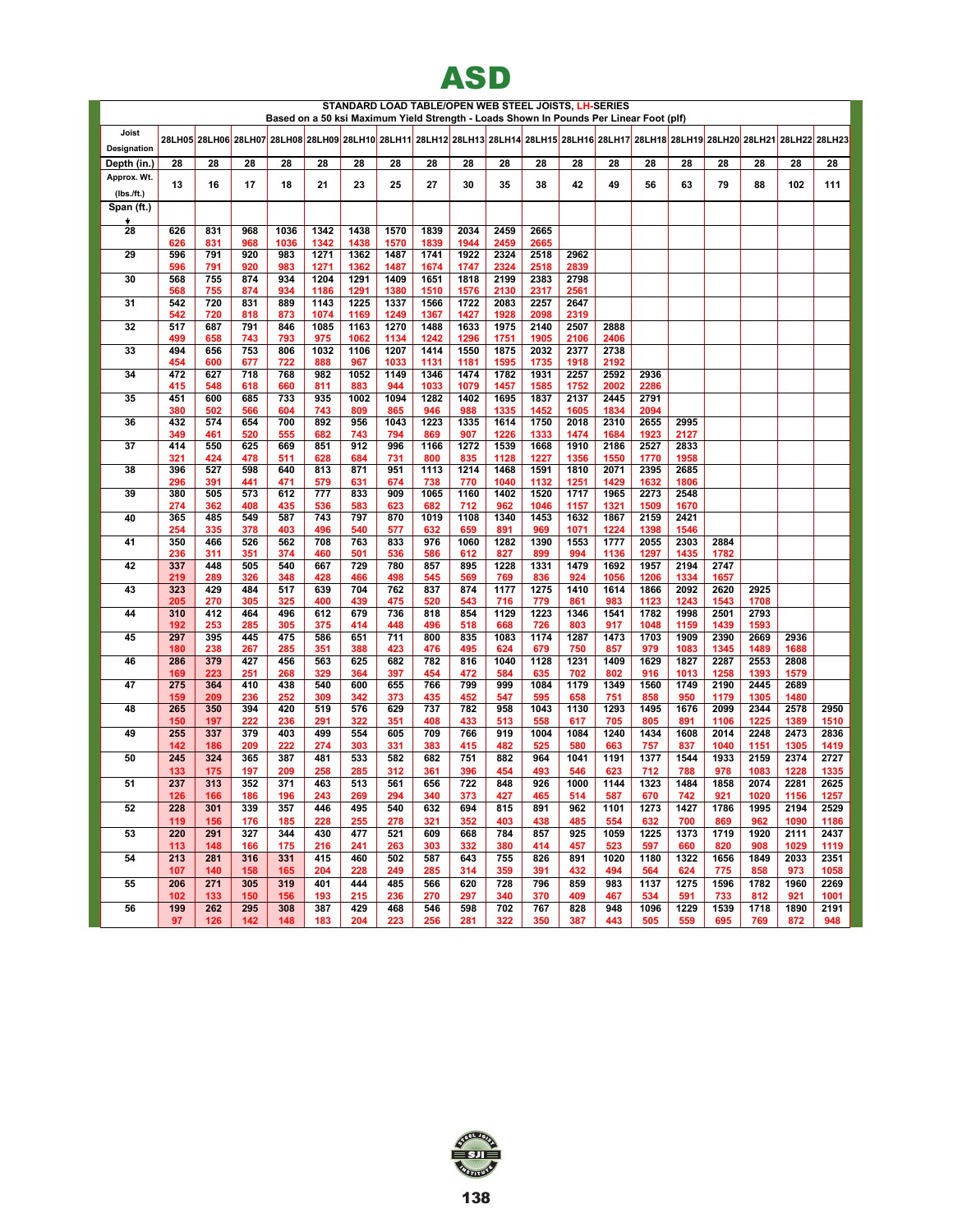

|                             |            |            |            |            |              |              |              |              |              |              | STANDARD LOAD TABLE/OPEN WEB STEEL JOISTS, LH-SERIES                                   |              |              |              |              |              |              |                                                                                                                                      |              |
|-----------------------------|------------|------------|------------|------------|--------------|--------------|--------------|--------------|--------------|--------------|----------------------------------------------------------------------------------------|--------------|--------------|--------------|--------------|--------------|--------------|--------------------------------------------------------------------------------------------------------------------------------------|--------------|
|                             |            |            |            |            |              |              |              |              |              |              | Based on a 50 ksi Maximum Yield Strength - Loads Shown In Pounds Per Linear Foot (plf) |              |              |              |              |              |              |                                                                                                                                      |              |
| Joist                       |            |            |            |            |              |              |              |              |              |              |                                                                                        |              |              |              |              |              |              | 28LH05 28LH06 28LH07 28LH08 28LH09 28LH10 28LH11 28LH12 28LH13 28LH14 28LH15 28LH16 28LH17 28LH18 28LH19 28LH20 28LH21 28LH22 28LH23 |              |
| Designation                 |            |            |            |            |              |              |              |              |              |              |                                                                                        |              |              |              |              |              |              |                                                                                                                                      |              |
| Depth (in.)<br>Approx. Wt.  | 28         | 28         | 28         | 28         | 28           | 28           | 28           | 28           | 28           | 28           | 28                                                                                     | 28           | 28           | 28           | 28           | 28           | 28           | 28                                                                                                                                   | 28           |
|                             | 13         | 16         | 17         | 18         | 21           | 23           | 25           | 27           | 30           | 35           | 38                                                                                     | 42           | 49           | 56           | 63           | 79           | 88           | 102                                                                                                                                  | 111          |
| $(Ibs$ ./ft.)<br>Span (ft.) |            |            |            |            |              |              |              |              |              |              |                                                                                        |              |              |              |              |              |              |                                                                                                                                      |              |
|                             |            |            |            |            |              |              |              |              |              |              |                                                                                        |              |              |              |              |              |              |                                                                                                                                      |              |
| 28                          | 626        | 831        | 968        | 1036       | 1342         | 1438         | 1570         | 1839         | 2034         | 2459         | 2665                                                                                   |              |              |              |              |              |              |                                                                                                                                      |              |
|                             | 626        | 831        | 968        | 1036       | 1342         | 1438         | 1570         | 1839         | 1944         | 2459         | 2665                                                                                   |              |              |              |              |              |              |                                                                                                                                      |              |
| 29                          | 596<br>596 | 791<br>791 | 920<br>920 | 983<br>983 | 1271<br>1271 | 1362<br>1362 | 1487<br>1487 | 1741<br>1674 | 1922<br>1747 | 2324<br>2324 | 2518<br>2518                                                                           | 2962<br>2839 |              |              |              |              |              |                                                                                                                                      |              |
| 30                          | 568        | 755        | 874        | 934        | 1204         | 1291         | 1409         | 1651         | 1818         | 2199         | 2383                                                                                   | 2798         |              |              |              |              |              |                                                                                                                                      |              |
|                             | 568        | 755        | 874        | 934        | 1186         | 1291         | 1380         | 1510         | 1576         | 2130         | 2317                                                                                   | 2561         |              |              |              |              |              |                                                                                                                                      |              |
| 31                          | 542        | 720        | 831        | 889        | 1143         | 1225         | 1337         | 1566         | 1722         | 2083         | 2257                                                                                   | 2647         |              |              |              |              |              |                                                                                                                                      |              |
| 32                          | 542<br>517 | 720<br>687 | 818<br>791 | 873<br>846 | 1074<br>1085 | 1169<br>1163 | 1249<br>1270 | 1367<br>1488 | 1427<br>1633 | 1928<br>1975 | 2098<br>2140                                                                           | 2319<br>2507 | 2888         |              |              |              |              |                                                                                                                                      |              |
|                             | 499        | 658        | 743        | 793        | 975          | 1062         | 1134         | 1242         | 1296         | 1751         | 1905                                                                                   | 2106         | 2406         |              |              |              |              |                                                                                                                                      |              |
| 33                          | 494        | 656        | 753        | 806        | 1032         | 1106         | 1207         | 1414         | 1550         | 1875         | 2032                                                                                   | 2377         | 2738         |              |              |              |              |                                                                                                                                      |              |
| 34                          | 454<br>472 | 600<br>627 | 677<br>718 | 722<br>768 | 888<br>982   | 967<br>1052  | 1033<br>1149 | 1131<br>1346 | 1181<br>1474 | 1595<br>1782 | 1735<br>1931                                                                           | 1918<br>2257 | 2192<br>2592 | 2936         |              |              |              |                                                                                                                                      |              |
|                             | 415        | 548        | 618        | 660        | 811          | 883          | 944          | 1033         | 1079         | 1457         | 1585                                                                                   | 1752         | 2002         | 2286         |              |              |              |                                                                                                                                      |              |
| 35                          | 451        | 600        | 685        | 733        | 935          | 1002         | 1094         | 1282         | 1402         | 1695         | 1837                                                                                   | 2137         | 2445         | 2791         |              |              |              |                                                                                                                                      |              |
|                             | 380        | 502        | 566        | 604        | 743          | 809          | 865          | 946          | 988          | 1335         | 1452                                                                                   | 1605         | 1834         | 2094         |              |              |              |                                                                                                                                      |              |
| 36                          | 432<br>349 | 574<br>461 | 654<br>520 | 700<br>555 | 892<br>682   | 956<br>743   | 1043<br>794  | 1223<br>869  | 1335<br>907  | 1614<br>1226 | 1750<br>1333                                                                           | 2018<br>1474 | 2310<br>1684 | 2655<br>1923 | 2995<br>2127 |              |              |                                                                                                                                      |              |
| 37                          | 414        | 550        | 625        | 669        | 851          | 912          | 996          | 1166         | 1272         | 1539         | 1668                                                                                   | 1910         | 2186         | 2527         | 2833         |              |              |                                                                                                                                      |              |
|                             | 321        | 424        | 478        | 511        | 628          | 684          | 731          | 800          | 835          | 1128         | 1227                                                                                   | 1356         | 1550         | 1770         | 1958         |              |              |                                                                                                                                      |              |
| 38                          | 396        | 527        | 598        | 640        | 813          | 871          | 951          | 1113         | 1214         | 1468         | 1591                                                                                   | 1810         | 2071         | 2395         | 2685         |              |              |                                                                                                                                      |              |
| 39                          | 296<br>380 | 391<br>505 | 441<br>573 | 471<br>612 | 579<br>777   | 631<br>833   | 674<br>909   | 738<br>1065  | 770<br>1160  | 1040<br>1402 | 1132<br>1520                                                                           | 1251<br>1717 | 1429<br>1965 | 1632<br>2273 | 1806<br>2548 |              |              |                                                                                                                                      |              |
|                             | 274        | 362        | 408        | 435        | 536          | 583          | 623          | 682          | 712          | 962          | 1046                                                                                   | 1157         | 1321         | 1509         | 1670         |              |              |                                                                                                                                      |              |
| 40                          | 365        | 485        | 549        | 587        | 743          | 797          | 870          | 1019         | 1108         | 1340         | 1453                                                                                   | 1632         | 1867         | 2159         | 2421         |              |              |                                                                                                                                      |              |
|                             | 254        | 335        | 378        | 403        | 496          | 540          | 577          | 632          | 659          | 891          | 969                                                                                    | 1071         | 1224         | 1398         | 1546         |              |              |                                                                                                                                      |              |
| 41                          | 350<br>236 | 466<br>311 | 526<br>351 | 562<br>374 | 708<br>460   | 763<br>501   | 833<br>536   | 976<br>586   | 1060<br>612  | 1282<br>827  | 1390<br>899                                                                            | 1553<br>994  | 1777<br>1136 | 2055<br>1297 | 2303<br>1435 | 2884<br>1782 |              |                                                                                                                                      |              |
| 42                          | 337        | 448        | 505        | 540        | 667          | 729          | 780          | 857          | 895          | 1228         | 1331                                                                                   | 1479         | 1692         | 1957         | 2194         | 2747         |              |                                                                                                                                      |              |
|                             | 219        | 289        | 326        | 348        | 428          | 466          | 498          | 545          | 569          | 769          | 836                                                                                    | 924          | 1056         | 1206         | 1334         | 1657         |              |                                                                                                                                      |              |
| 43                          | 323        | 429        | 484        | 517        | 639          | 704          | 762          | 837          | 874          | 1177         | 1275                                                                                   | 1410         | 1614         | 1866         | 2092         | 2620         | 2925         |                                                                                                                                      |              |
| 44                          | 205<br>310 | 270<br>412 | 305<br>464 | 325<br>496 | 400<br>612   | 439<br>679   | 475<br>736   | 520<br>818   | 543<br>854   | 716<br>1129  | 779<br>1223                                                                            | 861<br>1346  | 983<br>1541  | 1123<br>1782 | 1243<br>1998 | 1543<br>2501 | 1708<br>2793 |                                                                                                                                      |              |
|                             | 192        | 253        | 285        | 305        | 375          | 414          | 448          | 496          | 518          | 668          | 726                                                                                    | 803          | 917          | 1048         | 1159         | 1439         | 1593         |                                                                                                                                      |              |
| 45                          | 297        | 395        | 445        | 475        | 586          | 651          | 711          | 800          | 835          | 1083         | 1174                                                                                   | 1287         | 1473         | 1703         | 1909         | 2390         | 2669         | 2936                                                                                                                                 |              |
| 46                          | 180<br>286 | 238<br>379 | 267<br>427 | 285<br>456 | 351<br>563   | 388<br>625   | 423<br>682   | 476<br>782   | 495<br>816   | 624<br>1040  | 679<br>1128                                                                            | 750<br>1231  | 857<br>1409  | 979<br>1629  | 1083<br>1827 | 1345<br>2287 | 1489<br>2553 | 1688<br>2808                                                                                                                         |              |
|                             | 169        | 223        | 251        | 268        | 329          | 364          | 397          | 454          | 472          | 584          | 635                                                                                    | 702          | 802          | 916          | 1013         | 1258         | 1393         | 1579                                                                                                                                 |              |
| 47                          | 275        | 364        | 410        | 438        | 540          | 600          | 655          | 766          | 799          | 999          | 1084                                                                                   | 1179         | 1349         | 1560         | 1749         | 2190         | 2445         | 2689                                                                                                                                 |              |
|                             | 159        | 209        | 236        | 252        | 309          | 342          | 373          | 435          | 452          | 547          | 595                                                                                    | 658          | 751          | 858          | 950          | 1179         | 1305         | 1480                                                                                                                                 |              |
| 48                          | 265<br>150 | 350<br>197 | 394<br>222 | 420<br>236 | 519<br>291   | 576<br>322   | 629<br>351   | 737<br>408   | 782<br>433   | 958<br>513   | 1043<br>558                                                                            | 1130<br>617  | 1293<br>705  | 1495<br>805  | 1676<br>891  | 2099<br>1106 | 2344<br>1225 | 2578<br>1389                                                                                                                         | 2950<br>1510 |
| 49                          | 255        | 337        | 379        | 403        | 499          | 554          | 605          | 709          | 766          | 919          | 1004                                                                                   | 1084         | 1240         | 1434         | 1608         | 2014         | 2248         | 2473                                                                                                                                 | 2836         |
|                             | 142        | 186        | 209        | 222        | 274          | 303          | 331          | 383          | 415          | 482          | 525                                                                                    | 580          | 663          | 757          | 837          | 1040         | 1151         | 1305                                                                                                                                 | 1419         |
| 50                          | 245        | 324        | 365        | 387        | 481          | 533          | 582          | 682          | 751          | 882          | 964                                                                                    | 1041         | 1191         | 1377         | 1544         | 1933         | 2159         | 2374                                                                                                                                 | 2727         |
|                             | 133<br>237 | 175<br>313 | 197<br>352 | 209<br>371 | 258<br>463   | 285<br>513   | 312<br>561   | 361<br>656   | 396<br>722   | 454<br>848   | 493<br>926                                                                             | 546<br>1000  | 623<br>1144  | 712<br>1323  | 788          | 978<br>1858  | 1083<br>2074 | 1228<br>2281                                                                                                                         | 1335         |
| 51                          | 126        | 166        | 186        | 196        | 243          | 269          | 294          | 340          | 373          | 427          | 465                                                                                    | 514          | 587          | 670          | 1484<br>742  | 921          | 1020         | 1156                                                                                                                                 | 2625<br>1257 |
| 52                          | 228        | 301        | 339        | 357        | 446          | 495          | 540          | 632          | 694          | 815          | 891                                                                                    | 962          | 1101         | 1273         | 1427         | 1786         | 1995         | 2194                                                                                                                                 | 2529         |
|                             | 119        | 156        | 176        | 185        | 228          | 255          | 278          | 321          | 352          | 403          | 438                                                                                    | 485          | 554          | 632          | 700          | 869          | 962          | 1090                                                                                                                                 | 1186         |
| 53                          | 220        | 291        | 327        | 344        | 430          | 477          | 521          | 609          | 668          | 784          | 857                                                                                    | 925          | 1059         | 1225         | 1373         | 1719         | 1920         | 2111                                                                                                                                 | 2437         |
| 54                          | 113<br>213 | 148<br>281 | 166<br>316 | 175<br>331 | 216<br>415   | 241<br>460   | 263<br>502   | 303<br>587   | 332<br>643   | 380<br>755   | 414<br>826                                                                             | 457<br>891   | 523<br>1020  | 597<br>1180  | 660<br>1322  | 820<br>1656  | 908<br>1849  | 1029<br>2033                                                                                                                         | 1119<br>2351 |
|                             | 107        | 140        | 158        | 165        | 204          | 228          | 249          | 285          | 314          | 359          | 391                                                                                    | 432          | 494          | 564          | 624          | 775          | 858          | 973                                                                                                                                  | 1058         |
| 55                          | 206        | 271        | 305        | 319        | 401          | 444          | 485          | 566          | 620          | 728          | 796                                                                                    | 859          | 983          | 1137         | 1275         | 1596         | 1782         | 1960                                                                                                                                 | 2269         |
|                             | 102        | 133        | 150        | 156        | 193          | 215          | 236          | 270          | 297          | 340          | 370                                                                                    | 409          | 467          | 534          | 591          | 733          | 812          | 921                                                                                                                                  | 1001         |
| 56                          | 199        | 262        | 295        | 308        | 387          | 429          | 468          | 546          | 598          | 702          | 767                                                                                    | 828          | 948          | 1096         | 1229         | 1539         | 1718         | 1890                                                                                                                                 | 2191         |
|                             | 97         | 126        | 142        | 148        | 183          | 204          | 223          | 256          | 281          | 322          | 350                                                                                    | 387          | 443          | 505          | 559          | 695          | 769          | 872                                                                                                                                  | 948          |

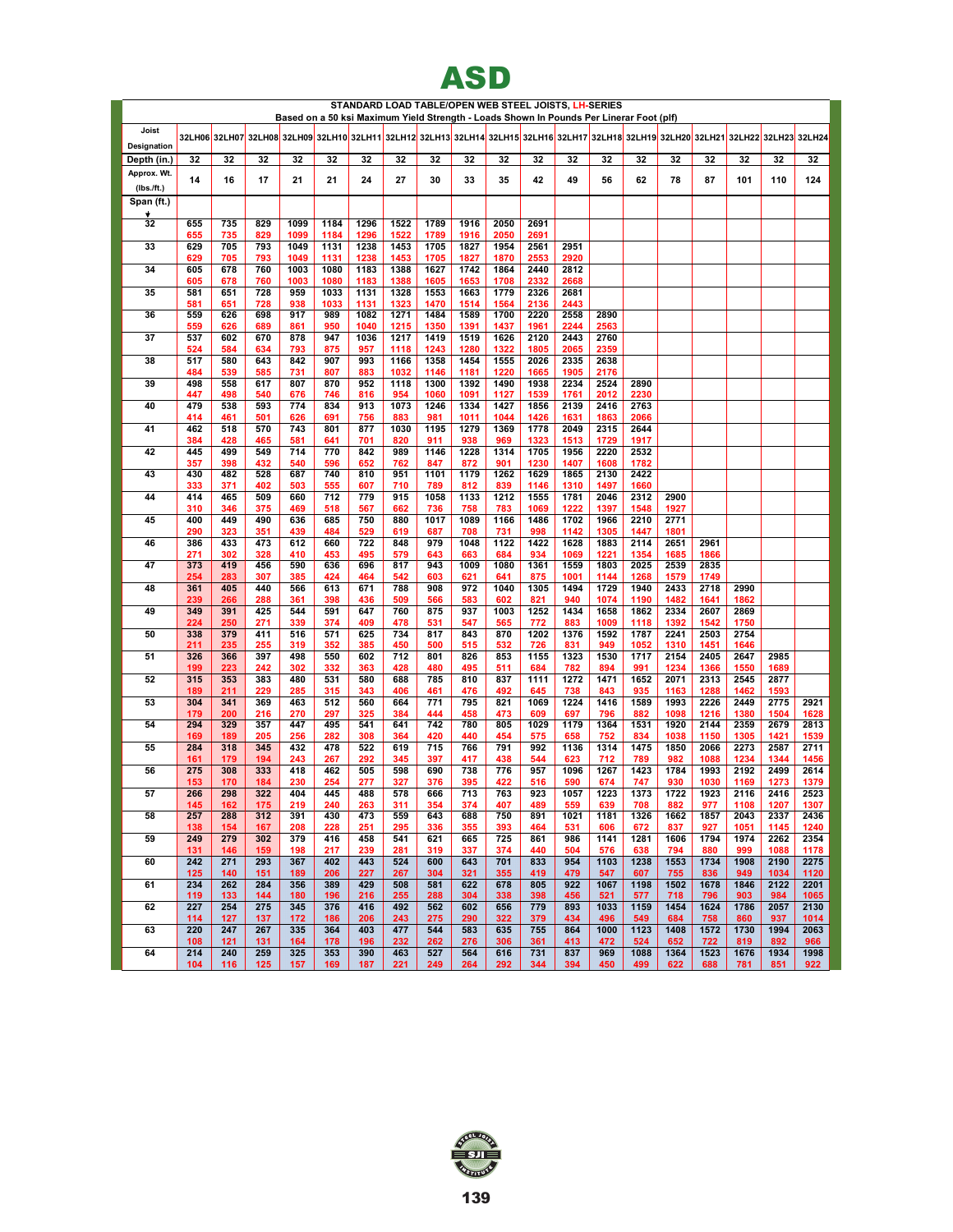|                          |            |            |            |              |              |              |              |              | ASD                                                                                                                                  |              |              |              |              |              |              |              |              |              |              |
|--------------------------|------------|------------|------------|--------------|--------------|--------------|--------------|--------------|--------------------------------------------------------------------------------------------------------------------------------------|--------------|--------------|--------------|--------------|--------------|--------------|--------------|--------------|--------------|--------------|
|                          |            |            |            |              |              |              |              |              | STANDARD LOAD TABLE/OPEN WEB STEEL JOISTS, LH-SERIES                                                                                 |              |              |              |              |              |              |              |              |              |              |
|                          |            |            |            |              |              |              |              |              | Based on a 50 ksi Maximum Yield Strength - Loads Shown In Pounds Per Linerar Foot (plf)                                              |              |              |              |              |              |              |              |              |              |              |
| Joist<br>Designation     |            |            |            |              |              |              |              |              | 32LH06 32LH07 32LH08 32LH09 32LH10 32LH11 32LH12 32LH13 32LH14 32LH16 32LH16 32LH17 32LH18 32LH19 32LH20 32LH21 32LH22 32LH23 32LH24 |              |              |              |              |              |              |              |              |              |              |
| Depth (in.)              | 32         | 32         | 32         | 32           | 32           | 32           | 32           | 32           | 32                                                                                                                                   | 32           | 32           | 32           | 32           | 32           | 32           | 32           | 32           | 32           | 32           |
| Approx. Wt.              | 14         | 16         | 17         | 21           | 21           | 24           | 27           | 30           | 33                                                                                                                                   | 35           | 42           | 49           | 56           | 62           | 78           | 87           | 101          | 110          | 124          |
| (Ibs.fft.)<br>Span (ft.) |            |            |            |              |              |              |              |              |                                                                                                                                      |              |              |              |              |              |              |              |              |              |              |
| Ý.                       |            |            |            |              |              |              |              |              |                                                                                                                                      |              |              |              |              |              |              |              |              |              |              |
| 32                       | 655<br>655 | 735<br>735 | 829<br>829 | 1099<br>1099 | 1184<br>1184 | 1296<br>1296 | 1522<br>1522 | 1789<br>1789 | 1916<br>1916                                                                                                                         | 2050<br>2050 | 2691<br>2691 |              |              |              |              |              |              |              |              |
| 33                       | 629        | 705        | 793        | 1049         | 1131         | 1238         | 1453         | 1705         | 1827                                                                                                                                 | 1954         | 2561         | 2951         |              |              |              |              |              |              |              |
| 34                       | 629<br>605 | 705<br>678 | 793<br>760 | 1049<br>1003 | 1131<br>1080 | 1238<br>1183 | 1453<br>1388 | 1705<br>1627 | 1827<br>1742                                                                                                                         | 1870<br>1864 | 2553<br>2440 | 2920<br>2812 |              |              |              |              |              |              |              |
| 35                       | 605<br>581 | 678<br>651 | 760<br>728 | 1003<br>959  | 1080<br>1033 | 1183<br>1131 | 1388<br>1328 | 1605<br>1553 | 1653<br>1663                                                                                                                         | 1708<br>1779 | 2332<br>2326 | 2668<br>2681 |              |              |              |              |              |              |              |
|                          | 581        | 651        | 728        | 938          | 1033         | 1131         | 1323         | 1470         | 1514                                                                                                                                 | 1564         | 2136         | 2443         |              |              |              |              |              |              |              |
| 36                       | 559<br>559 | 626<br>626 | 698<br>689 | 917<br>861   | 989<br>950   | 1082<br>1040 | 1271<br>1215 | 1484<br>1350 | 1589<br>1391                                                                                                                         | 1700<br>1437 | 2220<br>1961 | 2558<br>2244 | 2890<br>2563 |              |              |              |              |              |              |
| 37                       | 537<br>524 | 602<br>584 | 670<br>634 | 878<br>793   | 947<br>875   | 1036<br>957  | 1217<br>1118 | 1419<br>1243 | 1519<br>1280                                                                                                                         | 1626<br>1322 | 2120<br>1805 | 2443<br>2065 | 2760<br>2359 |              |              |              |              |              |              |
| 38                       | 517        | 580        | 643        | 842          | 907          | 993          | 1166         | 1358         | 1454                                                                                                                                 | 1555         | 2026         | 2335         | 2638         |              |              |              |              |              |              |
| 39                       | 484<br>498 | 539<br>558 | 585<br>617 | 731<br>807   | 807<br>870   | 883<br>952   | 1032<br>1118 | 1146<br>1300 | 1181<br>1392                                                                                                                         | 1220<br>1490 | 1665<br>1938 | 1905<br>2234 | 2176<br>2524 | 2890         |              |              |              |              |              |
|                          | 447        | 498        | 540        | 676          | 746          | 816          | 954          | 1060         | 1091                                                                                                                                 | 1127         | 1539         | 1761         | 2012         | 2230         |              |              |              |              |              |
| 40                       | 479<br>414 | 538<br>461 | 593<br>501 | 774<br>626   | 834<br>691   | 913<br>756   | 1073<br>883  | 1246<br>981  | 1334<br>1011                                                                                                                         | 1427<br>1044 | 1856<br>1426 | 2139<br>1631 | 2416<br>1863 | 2763<br>2066 |              |              |              |              |              |
| 41                       | 462<br>384 | 518<br>428 | 570<br>465 | 743<br>581   | 801<br>641   | 877<br>701   | 1030<br>820  | 1195<br>911  | 1279<br>938                                                                                                                          | 1369<br>969  | 1778<br>1323 | 2049<br>1513 | 2315<br>1729 | 2644<br>1917 |              |              |              |              |              |
| 42                       | 445        | 499        | 549        | 714          | 770          | 842          | 989          | 1146         | 1228                                                                                                                                 | 1314         | 1705         | 1956         | 2220         | 2532         |              |              |              |              |              |
| 43                       | 357<br>430 | 398<br>482 | 432<br>528 | 540<br>687   | 596<br>740   | 652<br>810   | 762<br>951   | 847<br>1101  | 872<br>1179                                                                                                                          | 901<br>1262  | 1230<br>1629 | 1407<br>1865 | 1608<br>2130 | 1782<br>2422 |              |              |              |              |              |
|                          | 333        | 371        | 402        | 503          | 555          | 607          | 710          | 789          | 812                                                                                                                                  | 839          | 1146         | 1310         | 1497         | 1660         |              |              |              |              |              |
| 44                       | 414<br>310 | 465<br>346 | 509<br>375 | 660<br>469   | 712<br>518   | 779<br>567   | 915<br>662   | 1058<br>736  | 1133<br>758                                                                                                                          | 1212<br>783  | 1555<br>1069 | 1781<br>1222 | 2046<br>1397 | 2312<br>1548 | 2900<br>1927 |              |              |              |              |
| 45                       | 400<br>290 | 449<br>323 | 490<br>351 | 636<br>439   | 685<br>484   | 750<br>529   | 880<br>619   | 1017<br>687  | 1089<br>708                                                                                                                          | 1166<br>731  | 1486<br>998  | 1702<br>1142 | 1966<br>1305 | 2210<br>1447 | 2771<br>1801 |              |              |              |              |
| 46                       | 386        | 433        | 473        | 612          | 660          | 722          | 848          | 979          | 1048                                                                                                                                 | 1122         | 1422         | 1628         | 1883         | 2114         | 2651         | 2961         |              |              |              |
| 47                       | 271<br>373 | 302<br>419 | 328<br>456 | 410<br>590   | 453<br>636   | 495<br>696   | 579<br>817   | 643<br>943   | 663<br>1009                                                                                                                          | 684<br>1080  | 934<br>1361  | 1069<br>1559 | 1221<br>1803 | 1354<br>2025 | 1685<br>2539 | 1866<br>2835 |              |              |              |
|                          | 254        | 283<br>405 | 307        | 385<br>566   | 424          | 464<br>671   | 542<br>788   | 603<br>908   | 621<br>972                                                                                                                           | 641<br>1040  | 875          | 1001         | 1144<br>1729 | 1268<br>1940 | 1579         | 1749<br>2718 | 2990         |              |              |
| 48                       | 361<br>239 | 266        | 440<br>288 | 361          | 613<br>398   | 436          | 509          | 566          | 583                                                                                                                                  | 602          | 1305<br>821  | 1494<br>940  | 1074         | 1190         | 2433<br>1482 | 1641         | 1862         |              |              |
| 49                       | 349<br>224 | 391<br>250 | 425<br>271 | 544<br>339   | 591<br>374   | 647<br>409   | 760<br>478   | 875<br>531   | 937<br>547                                                                                                                           | 1003<br>565  | 1252<br>772  | 1434<br>883  | 1658<br>1009 | 1862<br>1118 | 2334<br>1392 | 2607<br>1542 | 2869<br>1750 |              |              |
| 50                       | 338        | 379        | 411        | 516          | 571          | 625          | 734          | 817          | 843                                                                                                                                  | 870          | 1202         | 1376         | 1592         | 1787         | 2241         | 2503         | 2754         |              |              |
| 51                       | 211<br>326 | 235<br>366 | 255<br>397 | 319<br>498   | 352<br>550   | 385<br>602   | 450<br>712   | 500<br>801   | 515<br>826                                                                                                                           | 532<br>853   | 726<br>1155  | 831<br>1323  | 949<br>1530  | 1052<br>1717 | 1310<br>2154 | 1451<br>2405 | 1646<br>2647 | 2985         |              |
| 52                       | 199<br>315 | 223<br>353 | 242<br>383 | 302<br>480   | 332<br>531   | 363<br>580   | 428<br>688   | 480<br>785   | 495<br>810                                                                                                                           | 511<br>837   | 684<br>1111  | 782<br>1272  | 894<br>1471  | 991<br>1652  | 1234<br>2071 | 1366<br>2313 | 1550<br>2545 | 1689<br>2877 |              |
|                          | 189        | 211        | 229        | 285          | 315          | 343          | 406          | 461          | 476                                                                                                                                  | 492          | 645          | 738          | 843          | 935          | 1163         | 1288         | 1462         | 1593         |              |
| 53                       | 304<br>179 | 341<br>200 | 369<br>216 | 463<br>270   | 512<br>297   | 560<br>325   | 664<br>384   | 771<br>444   | 795<br>458                                                                                                                           | 821<br>473   | 1069<br>609  | 1224<br>697  | 1416<br>796  | 1589<br>882  | 1993<br>1098 | 2226<br>1216 | 2449<br>1380 | 2775<br>1504 | 2921<br>1628 |
| 54                       | 294<br>169 | 329<br>189 | 357<br>205 | 447<br>256   | 495<br>282   | 541<br>308   | 641<br>364   | 742<br>420   | 780<br>440                                                                                                                           | 805<br>454   | 1029<br>575  | 1179<br>658  | 1364<br>752  | 1531<br>834  | 1920<br>1038 | 2144<br>1150 | 2359<br>1305 | 2679<br>1421 | 2813<br>1539 |
| 55                       | 284        | 318        | 345        | 432          | 478          | 522          | 619          | 715          | 766                                                                                                                                  | 791          | 992          | 1136         | 1314         | 1475         | 1850         | 2066         | 2273         | 2587         | 2711         |
| 56                       | 161<br>275 | 179<br>308 | 194<br>333 | 243<br>418   | 267<br>462   | 292<br>505   | 345<br>598   | 397<br>690   | 417<br>738                                                                                                                           | 438<br>776   | 544<br>957   | 623<br>1096  | 712<br>1267  | 789<br>1423  | 982<br>1784  | 1088<br>1993 | 1234<br>2192 | 1344<br>2499 | 1456<br>2614 |
|                          | 153        | 170        | 184        | 230          | 254          | 277          | 327          | 376          | 395                                                                                                                                  | 422          | 516          | 590          | 674          | 747          | 930          | 1030         | 1169         | 1273         | 1379         |
| 57                       | 266<br>145 | 298<br>162 | 322<br>175 | 404<br>219   | 445<br>240   | 488<br>263   | 578<br>311   | 666<br>354   | 713<br>374                                                                                                                           | 763<br>407   | 923<br>489   | 1057<br>559  | 1223<br>639  | 1373<br>708  | 1722<br>882  | 1923<br>977  | 2116<br>1108 | 2416<br>1207 | 2523<br>1307 |
| 58                       | 257<br>138 | 288<br>154 | 312<br>167 | 391<br>208   | 430<br>228   | 473<br>251   | 559<br>295   | 643<br>336   | 688<br>355                                                                                                                           | 750<br>393   | 891<br>464   | 1021<br>531  | 1181<br>606  | 1326<br>672  | 1662<br>837  | 1857<br>927  | 2043<br>1051 | 2337<br>1145 | 2436<br>1240 |
| 59                       | 249        | 279        | 302        | 379          | 416          | 458          | 541          | 621          | 665                                                                                                                                  | 725          | 861          | 986          | 1141         | 1281         | 1606         | 1794         | 1974         | 2262         | 2354         |
| 60                       | 131<br>242 | 146<br>271 | 159<br>293 | 198<br>367   | 217<br>402   | 239<br>443   | 281<br>524   | 319<br>600   | 337<br>643                                                                                                                           | 374<br>701   | 440<br>833   | 504<br>954   | 576<br>1103  | 638<br>1238  | 794<br>1553  | 880<br>1734  | 999<br>1908  | 1088<br>2190 | 1178<br>2275 |
|                          | 125        | 140        | 151        | 189          | 206          | 227          | 267          | 304          | 321                                                                                                                                  | 355          | 419          | 479          | 547          | 607          | 755          | 836          | 949          | 1034         | 1120         |
| 61                       | 234<br>119 | 262<br>133 | 284<br>144 | 356<br>180   | 389<br>196   | 429<br>216   | 508<br>255   | 581<br>288   | 622<br>304                                                                                                                           | 678<br>338   | 805<br>398   | 922<br>456   | 1067<br>521  | 1198<br>577  | 1502<br>718  | 1678<br>796  | 1846<br>903  | 2122<br>984  | 2201<br>1065 |
| 62                       | 227<br>114 | 254<br>127 | 275<br>137 | 345<br>172   | 376<br>186   | 416<br>206   | 492<br>243   | 562<br>275   | 602<br>290                                                                                                                           | 656<br>322   | 779<br>379   | 893<br>434   | 1033<br>496  | 1159<br>549  | 1454<br>684  | 1624<br>758  | 1786<br>860  | 2057<br>937  | 2130<br>1014 |
| 63                       | 220        | 247        | 267        | 335          | 364          | 403          | 477          | 544          | 583                                                                                                                                  | 635          | 755          | 864          | 1000         | 1123         | 1408         | 1572         | 1730         | 1994         | 2063         |
| 64                       | 108<br>214 | 121<br>240 | 131<br>259 | 164<br>325   | 178<br>353   | 196<br>390   | 232<br>463   | 262<br>527   | 276<br>564                                                                                                                           | 306<br>616   | 361<br>731   | 413<br>837   | 472<br>969   | 524<br>1088  | 652<br>1364  | 722<br>1523  | 819<br>1676  | 892<br>1934  | 966<br>1998  |
|                          | 104        | 116        | 125        | 157          | 169          | 187          | 221          | 249          | 264                                                                                                                                  | 292          | 344          | 394          | 450          | 499          | 622          | 688          | 781          | 851          | 922          |

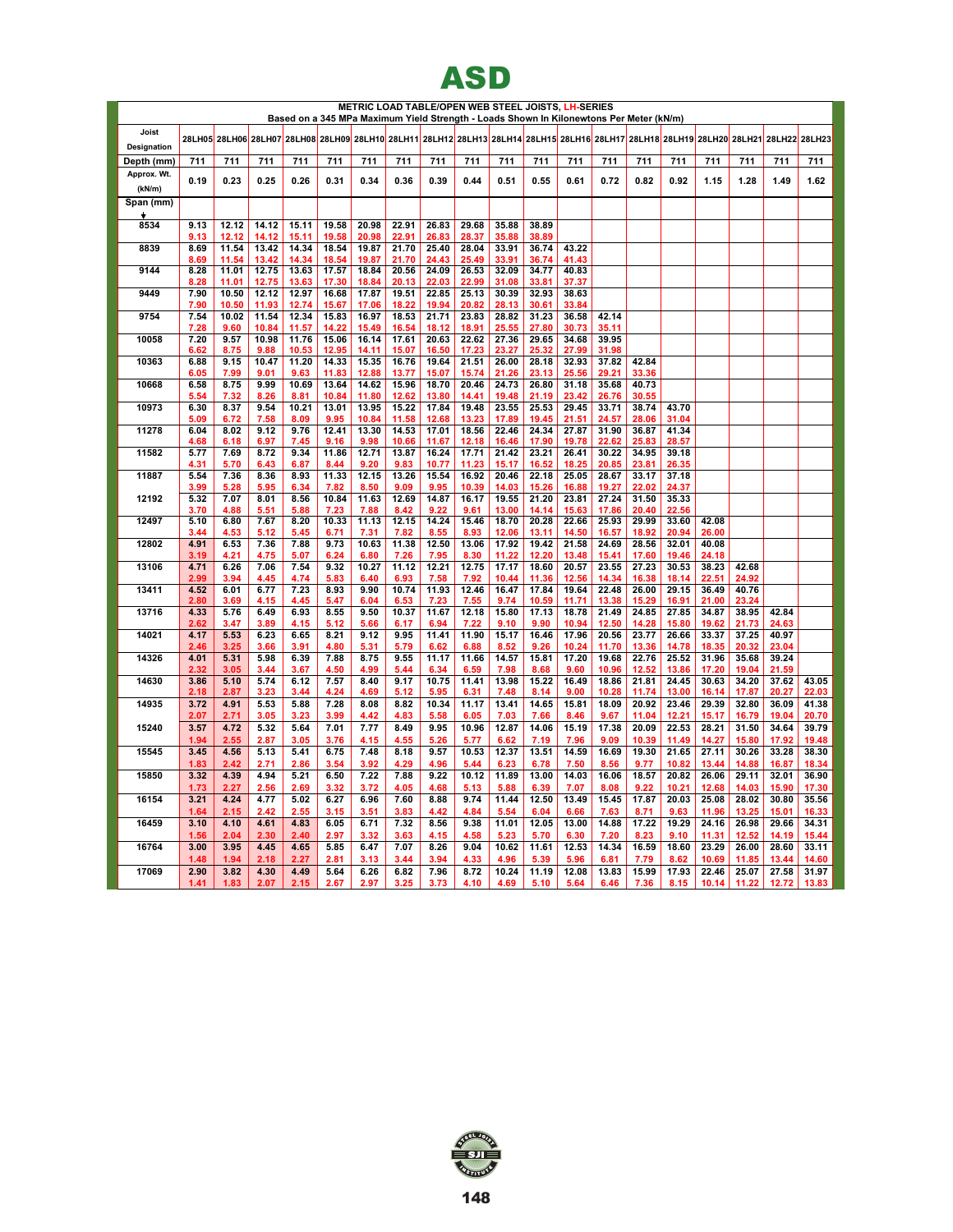

|                      |              |                |                |                |                |                | METRIC LOAD TABLE/OPEN WEB STEEL JOISTS, LH-SERIES<br>Based on a 345 MPa Maximum Yield Strength - Loads Shown In Kilonewtons Per Meter (kN/m) |                |                |                |                |                |                |                |                                                                                                                                      |                |                |                |                |
|----------------------|--------------|----------------|----------------|----------------|----------------|----------------|-----------------------------------------------------------------------------------------------------------------------------------------------|----------------|----------------|----------------|----------------|----------------|----------------|----------------|--------------------------------------------------------------------------------------------------------------------------------------|----------------|----------------|----------------|----------------|
| Joist<br>Designation |              |                |                |                |                |                |                                                                                                                                               |                |                |                |                |                |                |                | 28LH05 28LH06 28LH07 28LH08 28LH09 28LH10 28LH11 28LH12 28LH13 28LH14 28LH15 28LH16 28LH17 28LH17 28LH19 28LH20 28LH21 28LH22 28LH23 |                |                |                |                |
| Depth (mm)           | 711          | 711            | 711            | 711            | 711            | 711            | 711                                                                                                                                           | 711            | 711            | 711            | 711            | 711            | 711            | 711            | 711                                                                                                                                  | 711            | 711            | 711            | 711            |
| Approx. Wt.          | 0.19         | 0.23           | 0.25           | 0.26           | 0.31           | 0.34           | 0.36                                                                                                                                          | 0.39           | 0.44           | 0.51           | 0.55           | 0.61           | 0.72           | 0.82           | 0.92                                                                                                                                 | 1.15           | 1.28           | 1.49           | 1.62           |
| (kN/m)               |              |                |                |                |                |                |                                                                                                                                               |                |                |                |                |                |                |                |                                                                                                                                      |                |                |                |                |
| Span (mm)<br>÷       |              |                |                |                |                |                |                                                                                                                                               |                |                |                |                |                |                |                |                                                                                                                                      |                |                |                |                |
| 8534                 | 9.13         | 12.12          | 14.12          | 15.11          | 19.58          | 20.98          | 22.91                                                                                                                                         | 26.83          | 29.68          | 35.88          | 38.89          |                |                |                |                                                                                                                                      |                |                |                |                |
| 8839                 | 9.13<br>8.69 | 12.12<br>11.54 | 14.12<br>13.42 | 15.11<br>14.34 | 19.58<br>18.54 | 20.98<br>19.87 | 22.91<br>21.70                                                                                                                                | 26.83<br>25.40 | 28.37<br>28.04 | 35.88<br>33.91 | 38.89<br>36.74 | 43.22          |                |                |                                                                                                                                      |                |                |                |                |
| 9144                 | 8.69<br>8.28 | 11.54<br>11.01 | 13.42<br>12.75 | 14.34<br>13.63 | 18.54<br>17.57 | 19.87<br>18.84 | 21.70<br>20.56                                                                                                                                | 24.43<br>24.09 | 25.49<br>26.53 | 33.91<br>32.09 | 36.74<br>34.77 | 41.43<br>40.83 |                |                |                                                                                                                                      |                |                |                |                |
| 9449                 | 8.28<br>7.90 | 11.01<br>10.50 | 12.75<br>12.12 | 13.63<br>12.97 | 17.30<br>16.68 | 18.84<br>17.87 | 20.13<br>19.51                                                                                                                                | 22.03<br>22.85 | 22.99<br>25.13 | 31.08<br>30.39 | 33.81<br>32.93 | 37.37<br>38.63 |                |                |                                                                                                                                      |                |                |                |                |
|                      | 7.90         | 10.50          | 11.93          | 12.74          | 15.67          | 17.06          | 18.22                                                                                                                                         | 19.94          | 20.82          | 28.13          | 30.61          | 33.84          |                |                |                                                                                                                                      |                |                |                |                |
| 9754                 | 7.54         | 10.02          | 11.54          | 12.34          | 15.83          | 16.97          | 18.53                                                                                                                                         | 21.71          | 23.83          | 28.82          | 31.23          | 36.58          | 42.14          |                |                                                                                                                                      |                |                |                |                |
| 10058                | 7.28<br>7.20 | 9.60<br>9.57   | 10.84<br>10.98 | 11.57<br>11.76 | 14.22<br>15.06 | 15.49<br>16.14 | 16.54<br>17.61                                                                                                                                | 18.12<br>20.63 | 18.91<br>22.62 | 25.55<br>27.36 | 27.80<br>29.65 | 30.73<br>34.68 | 35.11<br>39.95 |                |                                                                                                                                      |                |                |                |                |
|                      | 6.62         | 8.75           | 9.88           | 10.53          | 12.95          | 14.11          | 15.07                                                                                                                                         | 16.50          | 17.23          | 23.27          | 25.32          | 27.99          | 31.98          |                |                                                                                                                                      |                |                |                |                |
| 10363                | 6.88<br>6.05 | 9.15<br>7.99   | 10.47<br>9.01  | 11.20<br>9.63  | 14.33<br>11.83 | 15.35<br>12.88 | 16.76<br>13.77                                                                                                                                | 19.64<br>15.07 | 21.51<br>15.74 | 26.00<br>21.26 | 28.18<br>23.13 | 32.93<br>25.56 | 37.82<br>29.21 | 42.84<br>33.36 |                                                                                                                                      |                |                |                |                |
| 10668                | 6.58         | 8.75           | 9.99           | 10.69          | 13.64          | 14.62          | 15.96                                                                                                                                         | 18.70          | 20.46          | 24.73          | 26.80          | 31.18          | 35.68          | 40.73          |                                                                                                                                      |                |                |                |                |
|                      | 5.54         | 7.32           | 8.26           | 8.81           | 10.84          | 11.80          | 12.62                                                                                                                                         | 13.80          | 14.41          | 19.48          | 21.19          | 23.42          | 26.76          | 30.55          |                                                                                                                                      |                |                |                |                |
| 10973                | 6.30<br>5.09 | 8.37<br>6.72   | 9.54<br>7.58   | 10.21<br>8.09  | 13.01<br>9.95  | 13.95<br>10.84 | 15.22<br>11.58                                                                                                                                | 17.84<br>12.68 | 19.48<br>13.23 | 23.55<br>17.89 | 25.53<br>19.45 | 29.45<br>21.51 | 33.71<br>24.57 | 38.74<br>28.06 | 43.70<br>31.04                                                                                                                       |                |                |                |                |
| 11278                | 6.04         | 8.02           | 9.12           | 9.76           | 12.41          | 13.30          | 14.53                                                                                                                                         | 17.01          | 18.56          | 22.46          | 24.34          | 27.87          | 31.90          | 36.87          | 41.34                                                                                                                                |                |                |                |                |
|                      | 4.68         | 6.18           | 6.97           | 7.45           | 9.16           | 9.98           | 10.66                                                                                                                                         | 11.67          | 12.18          | 16.46          | 17.90          | 19.78          | 22.62          | 25.83          | 28.57                                                                                                                                |                |                |                |                |
| 11582                | 5.77<br>4.31 | 7.69<br>5.70   | 8.72<br>6.43   | 9.34<br>6.87   | 11.86<br>8.44  | 12.71<br>9.20  | 13.87<br>9.83                                                                                                                                 | 16.24<br>10.77 | 17.71<br>11.23 | 21.42<br>15.17 | 23.21<br>16.52 | 26.41<br>18.25 | 30.22<br>20.85 | 34.95<br>23.81 | 39.18<br>26.35                                                                                                                       |                |                |                |                |
| 11887                | 5.54         | 7.36           | 8.36           | 8.93           | 11.33          | 12.15          | 13.26                                                                                                                                         | 15.54          | 16.92          | 20.46          | 22.18          | 25.05          | 28.67          | 33.17          | 37.18                                                                                                                                |                |                |                |                |
|                      | 3.99<br>5.32 | 5.28<br>7.07   | 5.95<br>8.01   | 6.34<br>8.56   | 7.82<br>10.84  | 8.50<br>11.63  | 9.09<br>12.69                                                                                                                                 | 9.95<br>14.87  | 10.39<br>16.17 | 14.03<br>19.55 | 15.26<br>21.20 | 16.88<br>23.81 | 19.27<br>27.24 | 22.02<br>31.50 | 24.37<br>35.33                                                                                                                       |                |                |                |                |
| 12192                | 3.70         | 4.88           | 5.51           | 5.88           | 7.23           | 7.88           | 8.42                                                                                                                                          | 9.22           | 9.61           | 13.00          | 14.14          | 15.63          | 17.86          | 20.40          | 22.56                                                                                                                                |                |                |                |                |
| 12497                | 5.10         | 6.80           | 7.67           | 8.20           | 10.33          | 11.13          | 12.15                                                                                                                                         | 14.24          | 15.46          | 18.70          | 20.28          | 22.66          | 25.93          | 29.99          | 33.60                                                                                                                                | 42.08          |                |                |                |
| 12802                | 3.44<br>4.91 | 4.53<br>6.53   | 5.12<br>7.36   | 5.45<br>7.88   | 6.71<br>9.73   | 7.31<br>10.63  | 7.82<br>11.38                                                                                                                                 | 8.55<br>12.50  | 8.93<br>13.06  | 12.06<br>17.92 | 13.11<br>19.42 | 14.50<br>21.58 | 16.57<br>24.69 | 18.92<br>28.56 | 20.94<br>32.01                                                                                                                       | 26.00<br>40.08 |                |                |                |
|                      | 3.19         | 4.21           | 4.75           | 5.07           | 6.24           | 6.80           | 7.26                                                                                                                                          | 7.95           | 8.30           | 11.22          | 12.20          | 13.48          | 15.41          | 17.60          | 19.46                                                                                                                                | 24.18          |                |                |                |
| 13106                | 4.71<br>2.99 | 6.26<br>3.94   | 7.06<br>4.45   | 7.54<br>4.74   | 9.32<br>5.83   | 10.27<br>6.40  | 11.12<br>6.93                                                                                                                                 | 12.21<br>7.58  | 12.75<br>7.92  | 17.17<br>10.44 | 18.60<br>11.36 | 20.57<br>12.56 | 23.55<br>14.34 | 27.23<br>16.38 | 30.53<br>18.14                                                                                                                       | 38.23<br>22.51 | 42.68<br>24.92 |                |                |
| 13411                | 4.52         | 6.01           | 6.77           | 7.23           | 8.93           | 9.90           | 10.74                                                                                                                                         | 11.93          | 12.46          | 16.47          | 17.84          | 19.64          | 22.48          | 26.00          | 29.15                                                                                                                                | 36.49          | 40.76          |                |                |
|                      | 2.80         | 3.69           | 4.15           | 4.45           | 5.47           | 6.04           | 6.53                                                                                                                                          | 7.23           | 7.55           | 9.74           | 10.59          | 11.71          | 13.38          | 15.29          | 16.91                                                                                                                                | 21.00          | 23.24          |                |                |
| 13716                | 4.33<br>2.62 | 5.76<br>3.47   | 6.49<br>3.89   | 6.93<br>4.15   | 8.55<br>5.12   | 9.50<br>5.66   | 10.37<br>6.17                                                                                                                                 | 11.67<br>6.94  | 12.18<br>7.22  | 15.80<br>9.10  | 17.13<br>9.90  | 18.78<br>10.94 | 21.49<br>12.50 | 24.85<br>14.28 | 27.85<br>15.80                                                                                                                       | 34.87<br>19.62 | 38.95<br>21.73 | 42.84<br>24.63 |                |
| 14021                | 4.17         | 5.53           | 6.23           | 6.65           | 8.21           | 9.12           | 9.95                                                                                                                                          | 11.41          | 11.90          | 15.17          | 16.46          | 17.96          | 20.56          | 23.77          | 26.66                                                                                                                                | 33.37          | 37.25          | 40.97          |                |
| 14326                | 2.46<br>4.01 | 3.25<br>5.31   | 3.66<br>5.98   | 3.91<br>6.39   | 4.80<br>7.88   | 5.31<br>8.75   | 5.79<br>9.55                                                                                                                                  | 6.62<br>11.17  | 6.88<br>11.66  | 8.52<br>14.57  | 9.26<br>15.81  | 10.24<br>17.20 | 11.70<br>19.68 | 13.36<br>22.76 | 14.78<br>25.52                                                                                                                       | 18.35<br>31.96 | 20.32<br>35.68 | 23.04<br>39.24 |                |
|                      | 2.32         | 3.05           | 3.44           | 3.67           | 4.50           | 4.99           | 5.44                                                                                                                                          | 6.34           | 6.59           | 7.98           | 8.68           | 9.60           | 10.96          | 12.52          | 13.86                                                                                                                                | 17.20          | 19.04          | 21.59          |                |
| 14630                | 3.86<br>2.18 | 5.10           | 5.74           | 6.12           | 7.57<br>4.24   | 8.40           | 9.17                                                                                                                                          | 10.75          | 11.41<br>6.31  | 13.98          | 15.22          | 16.49          | 18.86<br>10.28 | 21.81<br>11.74 | 24.45                                                                                                                                | 30.63          | 34.20<br>17.87 | 37.62<br>20.27 | 43.05<br>22.03 |
| 14935                | 3.72         | 2.87<br>4.91   | 3.23<br>5.53   | 3.44<br>5.88   | 7.28           | 4.69<br>8.08   | 5.12<br>8.82                                                                                                                                  | 5.95<br>10.34  | 11.17          | 7.48<br>13.41  | 8.14<br>14.65  | 9.00<br>15.81  | 18.09          | 20.92          | 13.00<br>23.46                                                                                                                       | 16.14<br>29.39 | 32.80          | 36.09          | 41.38          |
|                      | 2.07         | 2.71           | 3.05           | 3.23           | 3.99           | 4.42           | 4.83                                                                                                                                          | 5.58           | 6.05           | 7.03           | 7.66           | 8.46           | 9.67           | 11.04          | 12.21                                                                                                                                | 15.17          | 16.79          | 19.04          | 20.70          |
| 15240                | 3.57<br>1.94 | 4.72<br>2.55   | 5.32<br>2.87   | 5.64<br>3.05   | 7.01<br>3.76   | 7.77<br>4.15   | 8.49<br>4.55                                                                                                                                  | 9.95<br>5.26   | 10.96<br>5.77  | 12.87<br>6.62  | 14.06<br>7.19  | 15.19<br>7.96  | 17.38<br>9.09  | 20.09<br>10.39 | 22.53<br>11.49                                                                                                                       | 28.21<br>14.27 | 31.50<br>15.80 | 34.64<br>17.92 | 39.79<br>19.48 |
| 15545                | 3.45         | 4.56           | 5.13           | 5.41           | 6.75           | 7.48           | 8.18                                                                                                                                          | 9.57           | 10.53          | 12.37          | 13.51          | 14.59          | 16.69          | 19.30          | 21.65                                                                                                                                | 27.11          | 30.26          | 33.28          | 38.30          |
|                      | 1.83         | 2.42           | 2.71           | 2.86           | 3.54           | 3.92           | 4.29                                                                                                                                          | 4.96           | 5.44           | 6.23           | 6.78           | 7.50           | 8.56           | 9.77           | 10.82                                                                                                                                | 13.44          | 14.88          | 16.87          | 18.34          |
| 15850                | 3.32<br>1.73 | 4.39<br>2.27   | 4.94<br>2.56   | 5.21<br>2.69   | 6.50<br>3.32   | 7.22<br>3.72   | 7.88<br>4.05                                                                                                                                  | 9.22<br>4.68   | 10.12<br>5.13  | 11.89<br>5.88  | 13.00<br>6.39  | 14.03<br>7.07  | 16.06<br>8.08  | 18.57<br>9.22  | 20.82<br>10.21                                                                                                                       | 26.06<br>12.68 | 29.11<br>14.03 | 32.01<br>15.90 | 36.90<br>17.30 |
| 16154                | 3.21         | 4.24           | 4.77           | 5.02           | 6.27           | 6.96           | 7.60                                                                                                                                          | 8.88           | 9.74           | 11.44          | 12.50          | 13.49          | 15.45          | 17.87          | 20.03                                                                                                                                | 25.08          | 28.02          | 30.80          | 35.56          |
|                      | 1.64         | 2.15           | 2.42           | 2.55           | 3.15           | 3.51           | 3.83                                                                                                                                          | 4.42           | 4.84           | 5.54           | 6.04           | 6.66           | 7.63           | 8.71           | 9.63                                                                                                                                 | 11.96          | 13.25          | 15.01          | 16.33          |
| 16459                | 3.10<br>1.56 | 4.10<br>2.04   | 4.61<br>2.30   | 4.83<br>2.40   | 6.05<br>2.97   | 6.71<br>3.32   | 7.32<br>3.63                                                                                                                                  | 8.56<br>4.15   | 9.38<br>4.58   | 11.01<br>5.23  | 12.05<br>5.70  | 13.00<br>6.30  | 14.88<br>7.20  | 17.22<br>8.23  | 19.29<br>9.10                                                                                                                        | 24.16<br>11.31 | 26.98<br>12.52 | 29.66<br>14.19 | 34.31<br>15.44 |
| 16764                | 3.00         | 3.95           | 4.45           | 4.65           | 5.85           | 6.47           | 7.07                                                                                                                                          | 8.26           | 9.04           | 10.62          | 11.61          | 12.53          | 14.34          | 16.59          | 18.60                                                                                                                                | 23.29          | 26.00          | 28.60          | 33.11          |
|                      | 1.48         | 1.94           | 2.18           | 2.27           | 2.81           | 3.13           | 3.44                                                                                                                                          | 3.94           | 4.33           | 4.96           | 5.39           | 5.96           | 6.81           | 7.79           | 8.62                                                                                                                                 | 10.69          | 11.85          | 13.44          | 14.60          |
| 17069                | 2.90<br>1.41 | 3.82<br>1.83   | 4.30<br>2.07   | 4.49<br>2.15   | 5.64<br>2.67   | 6.26<br>2.97   | 6.82<br>3.25                                                                                                                                  | 7.96<br>3.73   | 8.72<br>4.10   | 10.24<br>4.69  | 11.19<br>5.10  | 12.08<br>5.64  | 13.83<br>6.46  | 15.99<br>7.36  | 17.93<br>8.15                                                                                                                        | 22.46<br>10.14 | 25.07<br>11.22 | 27.58<br>12.72 | 31.97<br>13.83 |